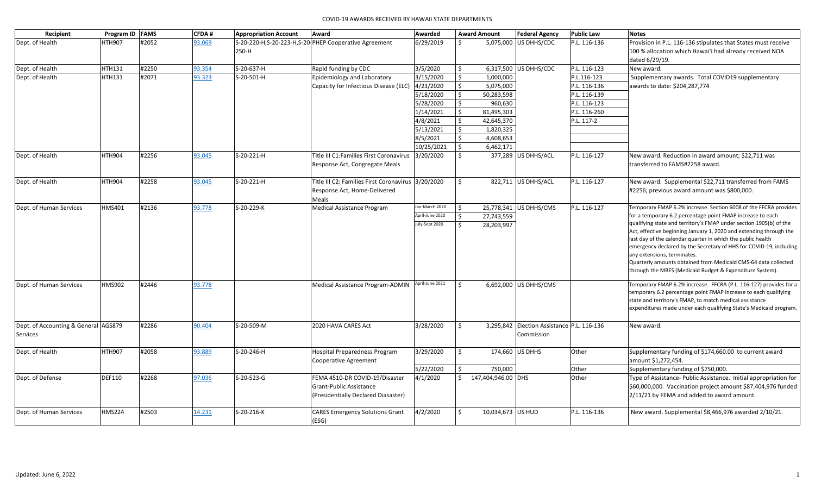| Recipient                            |               | Program ID FAMS | CFDA#  | <b>Appropriation Account</b> | Award                                                   | Awarded         |                    | <b>Award Amount</b> | <b>Federal Agency</b>                      | <b>Public Law</b> | <b>Notes</b>                                                                                                                      |
|--------------------------------------|---------------|-----------------|--------|------------------------------|---------------------------------------------------------|-----------------|--------------------|---------------------|--------------------------------------------|-------------------|-----------------------------------------------------------------------------------------------------------------------------------|
| Dept. of Health                      | <b>HTH907</b> | #2052           | 93.069 |                              | S-20-220-H, S-20-223-H, S-20-PHEP Cooperative Agreement | 6/29/2019       | Ś.                 |                     | 5,075,000 US DHHS/CDC                      | P.L. 116-136      | Provision in P.L. 116-136 stipulates that States must receive                                                                     |
|                                      |               |                 |        | 250-H                        |                                                         |                 |                    |                     |                                            |                   | 100 % allocation which Hawai'i had already received NOA                                                                           |
|                                      |               |                 |        |                              |                                                         |                 |                    |                     |                                            |                   | dated 6/29/19.                                                                                                                    |
| Dept. of Health                      | <b>HTH131</b> | #2250           | 93.354 | S-20-637-H                   | Rapid funding by CDC                                    | 3/5/2020        | Ś.                 |                     | 6,317,500 US DHHS/CDC                      | P.L. 116-123      | New award.                                                                                                                        |
| Dept. of Health                      | <b>HTH131</b> | #2071           | 93.323 | S-20-501-H                   | Epidemiology and Laboratory                             | 3/15/2020       | \$                 | 1,000,000           |                                            | P.L.116-123       | Supplementary awards. Total COVID19 supplementary                                                                                 |
|                                      |               |                 |        |                              | Capacity for Infectious Disease (ELC)                   | 4/23/2020       | \$                 | 5,075,000           |                                            | P.L. 116-136      | awards to date: \$204,287,774                                                                                                     |
|                                      |               |                 |        |                              |                                                         | 5/18/2020       | \$                 | 50,283,598          |                                            | P.L. 116-139      |                                                                                                                                   |
|                                      |               |                 |        |                              |                                                         | 5/28/2020       | \$                 | 960,630             |                                            | P.L. 116-123      |                                                                                                                                   |
|                                      |               |                 |        |                              |                                                         | 1/14/2021       | \$                 | 81,495,303          |                                            | P.L. 116-260      |                                                                                                                                   |
|                                      |               |                 |        |                              |                                                         | 4/8/2021        | \$                 | 42,645,370          |                                            | P.L. 117-2        |                                                                                                                                   |
|                                      |               |                 |        |                              |                                                         | 5/13/2021       | \$                 | 1,820,325           |                                            |                   |                                                                                                                                   |
|                                      |               |                 |        |                              |                                                         | 8/5/2021        | \$                 | 4,608,653           |                                            |                   |                                                                                                                                   |
|                                      |               |                 |        |                              |                                                         | 10/25/2021      | \$                 | 6,462,171           |                                            |                   |                                                                                                                                   |
| Dept. of Health                      | <b>HTH904</b> | #2256           | 93.045 | S-20-221-H                   | Title III C1: Families First Coronavirus                | 3/20/2020       | Ś.                 |                     | 377,289 US DHHS/ACL                        | P.L. 116-127      | New award. Reduction in award amount; \$22,711 was                                                                                |
|                                      |               |                 |        |                              | Response Act, Congregate Meals                          |                 |                    |                     |                                            |                   | transferred to FAMS#2258 award.                                                                                                   |
| Dept. of Health                      | <b>HTH904</b> | #2258           | 93.045 | S-20-221-H                   | Title III C2: Families First Coronavirus 3/20/2020      |                 | Ś.                 |                     | 822,711 US DHHS/ACL                        | P.L. 116-127      | New award. Supplemental \$22,711 transferred from FAMS                                                                            |
|                                      |               |                 |        |                              | Response Act, Home-Delivered                            |                 |                    |                     |                                            |                   | #2256; previous award amount was \$800,000.                                                                                       |
|                                      |               |                 |        |                              | Meals                                                   |                 |                    |                     |                                            |                   |                                                                                                                                   |
| Dept. of Human Services              | <b>HMS401</b> | #2136           | 93.778 | S-20-229-K                   | Medical Assistance Program                              | Jan-March 2020  | \$                 |                     | 25,778,341 US DHHS/CMS                     | P.L. 116-127      | Temporary FMAP 6.2% increase. Section 6008 of the FFCRA provides                                                                  |
|                                      |               |                 |        |                              |                                                         | April-June 2020 | Ś.                 | 27,743,559          |                                            |                   | for a temporary 6.2 percentage point FMAP increase to each                                                                        |
|                                      |               |                 |        |                              |                                                         | July-Sept 2020  | $\zeta$            | 28,203,997          |                                            |                   | qualifying state and territory's FMAP under section 1905(b) of the                                                                |
|                                      |               |                 |        |                              |                                                         |                 |                    |                     |                                            |                   | Act, effective beginning January 1, 2020 and extending through the                                                                |
|                                      |               |                 |        |                              |                                                         |                 |                    |                     |                                            |                   | last day of the calendar quarter in which the public health<br>emergency declared by the Secretary of HHS for COVID-19, including |
|                                      |               |                 |        |                              |                                                         |                 |                    |                     |                                            |                   | any extensions, terminates.                                                                                                       |
|                                      |               |                 |        |                              |                                                         |                 |                    |                     |                                            |                   | Quarterly amounts obtained from Medicaid CMS-64 data collected                                                                    |
|                                      |               |                 |        |                              |                                                         |                 |                    |                     |                                            |                   | through the MBES (Medicaid Budget & Expenditure System).                                                                          |
| Dept. of Human Services              | <b>HMS902</b> | #2446           | 93.778 |                              | Medical Assistance Program-ADMIN                        | April-June 2021 | $\mathsf{\hat{S}}$ |                     | 6,692,000 US DHHS/CMS                      |                   | Temporary FMAP 6.2% increase. FFCRA (P.L. 116-127) provides for a                                                                 |
|                                      |               |                 |        |                              |                                                         |                 |                    |                     |                                            |                   | temporary 6.2 percentage point FMAP increase to each qualifying                                                                   |
|                                      |               |                 |        |                              |                                                         |                 |                    |                     |                                            |                   | state and territory's FMAP, to match medical assistance                                                                           |
|                                      |               |                 |        |                              |                                                         |                 |                    |                     |                                            |                   | expenditures made under each qualifying State's Medicaid program.                                                                 |
| Dept. of Accounting & General AGS879 |               | #2286           | 90.404 | S-20-509-M                   | 2020 HAVA CARES Act                                     | 3/28/2020       | Ś.                 |                     | 3,295,842 Election Assistance P.L. 116-136 |                   | New award.                                                                                                                        |
| <b>Services</b>                      |               |                 |        |                              |                                                         |                 |                    |                     | Commission                                 |                   |                                                                                                                                   |
|                                      |               |                 |        |                              |                                                         |                 | Ś.                 |                     |                                            |                   |                                                                                                                                   |
| Dept. of Health                      | <b>HTH907</b> | #2058           | 93.889 | S-20-246-H                   | <b>Hospital Preparedness Program</b>                    | 3/29/2020       |                    |                     | 174,660 US DHHS                            | Other             | Supplementary funding of \$174,660.00 to current award                                                                            |
|                                      |               |                 |        |                              | Cooperative Agreement                                   | 5/22/2020       | \$                 | 750,000             |                                            | Other             | amount \$1,272,454.<br>Supplementary funding of \$750,000.                                                                        |
| Dept. of Defense                     | <b>DEF110</b> | #2268           | 97.036 | S-20-523-G                   | FEMA 4510-DR COVID-19/Disaster                          | 4/1/2020        | Ś.                 | 147,404,946.00 DHS  |                                            | Other             | Type of Assistance- Public Assistance. Initial appropriation for                                                                  |
|                                      |               |                 |        |                              | Grant-Public Assistance                                 |                 |                    |                     |                                            |                   | \$60,000,000. Vaccination project amount \$87,404,976 funded                                                                      |
|                                      |               |                 |        |                              | (Presidentially Declared Diasaster)                     |                 |                    |                     |                                            |                   | 2/11/21 by FEMA and added to award amount.                                                                                        |
|                                      |               |                 |        |                              |                                                         |                 |                    |                     |                                            |                   |                                                                                                                                   |
| Dept. of Human Services              | <b>HMS224</b> | #2503           | 14.231 | S-20-216-K                   | <b>CARES Emergency Solutions Grant</b>                  | 4/2/2020        | \$                 | 10,034,673 US HUD   |                                            | P.L. 116-136      | New award. Supplemental \$8,466,976 awarded 2/10/21.                                                                              |
|                                      |               |                 |        |                              | (ESG)                                                   |                 |                    |                     |                                            |                   |                                                                                                                                   |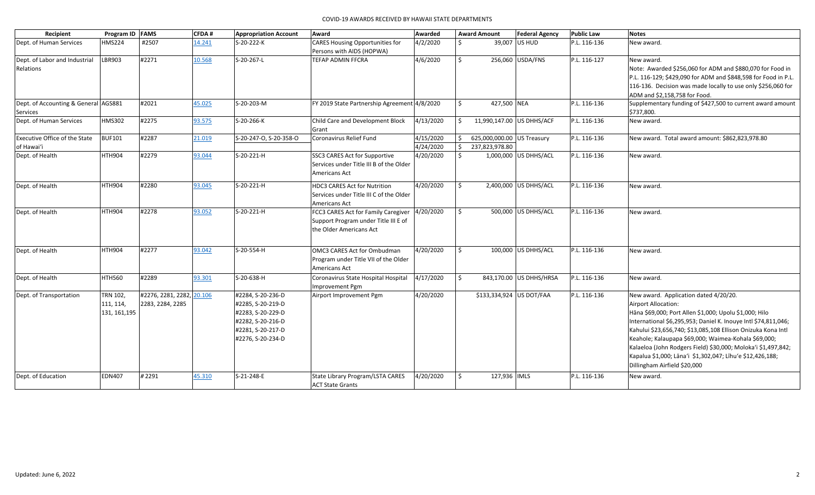| Recipient                            | Program ID FAMS |                           | CFDA#  | <b>Appropriation Account</b> | Award                                        | Awarded   |    | <b>Award Amount</b>        | <b>Federal Agency</b>    | <b>Public Law</b> | <b>Notes</b>                                                   |
|--------------------------------------|-----------------|---------------------------|--------|------------------------------|----------------------------------------------|-----------|----|----------------------------|--------------------------|-------------------|----------------------------------------------------------------|
| Dept. of Human Services              | <b>HMS224</b>   | #2507                     | 14.241 | S-20-222-K                   | <b>CARES Housing Opportunities for</b>       | 4/2/2020  | Ś. |                            | 39,007 US HUD            | P.L. 116-136      | New award.                                                     |
|                                      |                 |                           |        |                              | Persons with AIDS (HOPWA)                    |           |    |                            |                          |                   |                                                                |
| Dept. of Labor and Industrial        | LBR903          | #2271                     | 10.568 | S-20-267-L                   | TEFAP ADMIN FFCRA                            | 4/6/2020  | \$ |                            | 256,060 USDA/FNS         | P.L. 116-127      | New award.                                                     |
| Relations                            |                 |                           |        |                              |                                              |           |    |                            |                          |                   | Note: Awarded \$256,060 for ADM and \$880,070 for Food in      |
|                                      |                 |                           |        |                              |                                              |           |    |                            |                          |                   | P.L. 116-129; \$429,090 for ADM and \$848,598 for Food in P.L. |
|                                      |                 |                           |        |                              |                                              |           |    |                            |                          |                   | 116-136. Decision was made locally to use only \$256,060 for   |
|                                      |                 |                           |        |                              |                                              |           |    |                            |                          |                   | ADM and \$2,158,758 for Food.                                  |
| Dept. of Accounting & General AGS881 |                 | #2021                     | 45.025 | S-20-203-M                   | FY 2019 State Partnership Agreement 4/8/2020 |           | Ś. | 427,500 NEA                |                          | P.L. 116-136      | Supplementary funding of \$427,500 to current award amount     |
| Services                             |                 |                           |        |                              |                                              |           |    |                            |                          |                   | \$737,800.                                                     |
| Dept. of Human Services              | <b>HMS302</b>   | #2275                     | 93.575 | S-20-266-K                   | Child Care and Development Block             | 4/13/2020 | \$ | 11,990,147.00 US DHHS/ACF  |                          | P.L. 116-136      | New award.                                                     |
|                                      |                 |                           |        |                              | Grant                                        |           |    |                            |                          |                   |                                                                |
| Executive Office of the State        | <b>BUF101</b>   | #2287                     | 21.019 | S-20-247-O, S-20-358-O       | Coronavirus Relief Fund                      | 4/15/2020 | \$ | 625,000,000.00 US Treasury |                          | P.L. 116-136      | New award. Total award amount: \$862,823,978.80                |
| of Hawai'i                           |                 |                           |        |                              |                                              | 4/24/2020 | Ŝ. | 237,823,978.80             |                          |                   |                                                                |
| Dept. of Health                      | <b>HTH904</b>   | #2279                     | 93.044 | S-20-221-H                   | SSC3 CARES Act for Supportive                | 4/20/2020 | Ś. |                            | 1,000,000 US DHHS/ACL    | P.L. 116-136      | New award.                                                     |
|                                      |                 |                           |        |                              | Services under Title III B of the Older      |           |    |                            |                          |                   |                                                                |
|                                      |                 |                           |        |                              | Americans Act                                |           |    |                            |                          |                   |                                                                |
| Dept. of Health                      | <b>HTH904</b>   | #2280                     | 93.045 | S-20-221-H                   | <b>HDC3 CARES Act for Nutrition</b>          | 4/20/2020 | Ŝ. |                            | 2,400,000 US DHHS/ACL    | P.L. 116-136      | New award.                                                     |
|                                      |                 |                           |        |                              | Services under Title III C of the Older      |           |    |                            |                          |                   |                                                                |
|                                      |                 |                           |        |                              | Americans Act                                |           |    |                            |                          |                   |                                                                |
| Dept. of Health                      | <b>HTH904</b>   | #2278                     | 93.052 | S-20-221-H                   | FCC3 CARES Act for Family Caregiver          | 4/20/2020 | Ŝ. |                            | 500,000 US DHHS/ACL      | P.L. 116-136      | New award.                                                     |
|                                      |                 |                           |        |                              | Support Program under Title III E of         |           |    |                            |                          |                   |                                                                |
|                                      |                 |                           |        |                              | the Older Americans Act                      |           |    |                            |                          |                   |                                                                |
|                                      |                 |                           |        |                              |                                              |           |    |                            |                          |                   |                                                                |
| Dept. of Health                      | <b>HTH904</b>   | #2277                     | 93.042 | S-20-554-H                   | OMC3 CARES Act for Ombudman                  | 4/20/2020 | Ŝ. |                            | 100,000 US DHHS/ACL      | P.L. 116-136      | New award.                                                     |
|                                      |                 |                           |        |                              | Program under Title VII of the Older         |           |    |                            |                          |                   |                                                                |
|                                      |                 |                           |        |                              | Americans Act                                |           |    |                            |                          |                   |                                                                |
| Dept. of Health                      | <b>HTH560</b>   | #2289                     | 93.301 | S-20-638-H                   | Coronavirus State Hospital Hospital          | 4/17/2020 | Ŝ. |                            | 843,170.00 US DHHS/HRSA  | P.L. 116-136      | New award.                                                     |
|                                      |                 |                           |        |                              | Improvement Pgm                              |           |    |                            |                          |                   |                                                                |
| Dept. of Transportation              | <b>TRN 102,</b> | #2276, 2281, 2282, 20.106 |        | #2284, S-20-236-D            | Airport Improvement Pgm                      | 4/20/2020 |    |                            | \$133,334,924 US DOT/FAA | P.L. 116-136      | New award. Application dated 4/20/20.                          |
|                                      | 111, 114,       | 2283, 2284, 2285          |        | #2285, S-20-219-D            |                                              |           |    |                            |                          |                   | <b>Airport Allocation:</b>                                     |
|                                      | 131, 161, 195   |                           |        | #2283, S-20-229-D            |                                              |           |    |                            |                          |                   | Hāna \$69,000; Port Allen \$1,000; Upolu \$1,000; Hilo         |
|                                      |                 |                           |        | #2282, S-20-216-D            |                                              |           |    |                            |                          |                   | International \$6,295,953; Daniel K. Inouye Intl \$74,811,046; |
|                                      |                 |                           |        | #2281, S-20-217-D            |                                              |           |    |                            |                          |                   | Kahului \$23,656,740; \$13,085,108 Ellison Onizuka Kona Intl   |
|                                      |                 |                           |        | #2276, S-20-234-D            |                                              |           |    |                            |                          |                   | Keahole; Kalaupapa \$69,000; Waimea-Kohala \$69,000;           |
|                                      |                 |                           |        |                              |                                              |           |    |                            |                          |                   | Kalaeloa (John Rodgers Field) \$30,000; Moloka'i \$1,497,842;  |
|                                      |                 |                           |        |                              |                                              |           |    |                            |                          |                   | Kapalua \$1,000; Lāna'i \$1,302,047; Līhu'e \$12,426,188;      |
|                                      |                 |                           |        |                              |                                              |           |    |                            |                          |                   | Dillingham Airfield \$20,000                                   |
| Dept. of Education                   | <b>EDN407</b>   | #2291                     | 45.310 | S-21-248-E                   | <b>State Library Program/LSTA CARES</b>      | 4/20/2020 | \$ | 127,936   IMLS             |                          | P.L. 116-136      | New award.                                                     |
|                                      |                 |                           |        |                              | <b>ACT State Grants</b>                      |           |    |                            |                          |                   |                                                                |
|                                      |                 |                           |        |                              |                                              |           |    |                            |                          |                   |                                                                |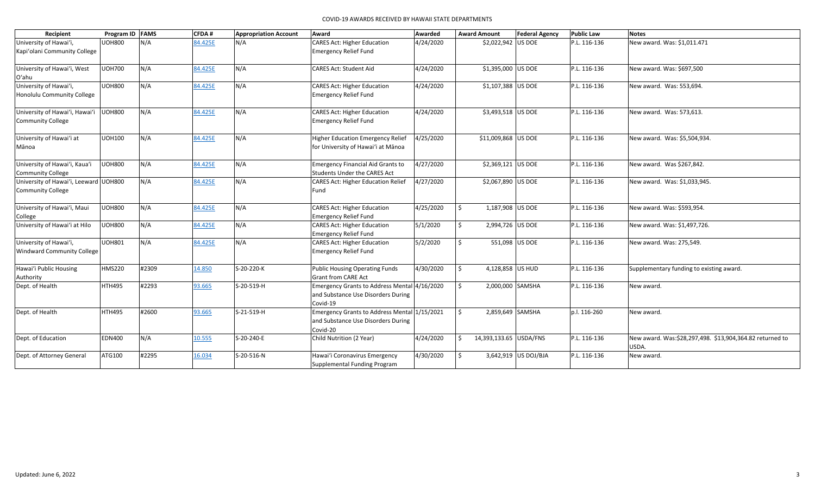|                                                                   |                 |       |              |                              | COVID-19 AWARDS RECEIVED BY HAWAII STATE DEPARTMENTS                                           |           |                             |                       |                   |                                                                   |
|-------------------------------------------------------------------|-----------------|-------|--------------|------------------------------|------------------------------------------------------------------------------------------------|-----------|-----------------------------|-----------------------|-------------------|-------------------------------------------------------------------|
| Recipient                                                         | Program ID FAMS |       | <b>CFDA#</b> | <b>Appropriation Account</b> | Award                                                                                          | Awarded   | <b>Award Amount</b>         | <b>Federal Agency</b> | <b>Public Law</b> | <b>Notes</b>                                                      |
| University of Hawai'i,<br>Kapi'olani Community College            | <b>UOH800</b>   | N/A   | 84.425E      | N/A                          | <b>CARES Act: Higher Education</b><br><b>Emergency Relief Fund</b>                             | 4/24/2020 | \$2,022,942 US DOE          |                       | P.L. 116-136      | New award. Was: \$1,011.471                                       |
| University of Hawai'i, West<br>O'ahu                              | <b>UOH700</b>   | N/A   | 84.425E      | N/A                          | <b>CARES Act: Student Aid</b>                                                                  | 4/24/2020 | \$1,395,000 US DOE          |                       | P.L. 116-136      | New award. Was: \$697,500                                         |
| University of Hawai'i,<br>Honolulu Community College              | <b>UOH800</b>   | N/A   | 84.425E      | N/A                          | CARES Act: Higher Education<br><b>Emergency Relief Fund</b>                                    | 4/24/2020 | \$1,107,388 US DOE          |                       | P.L. 116-136      | New award. Was: 553,694.                                          |
| University of Hawai'i, Hawai'i<br><b>Community College</b>        | <b>UOH800</b>   | N/A   | 84.425E      | N/A                          | CARES Act: Higher Education<br><b>Emergency Relief Fund</b>                                    | 4/24/2020 | \$3,493,518 US DOE          |                       | P.L. 116-136      | New award. Was: 573,613.                                          |
| University of Hawai'i at<br>Mānoa                                 | <b>UOH100</b>   | N/A   | 84.425E      | N/A                          | Higher Education Emergency Relief<br>for University of Hawai'i at Mānoa                        | 4/25/2020 | \$11,009,868 US DOE         |                       | P.L. 116-136      | New award. Was: \$5,504,934.                                      |
| University of Hawai'i, Kaua'i<br><b>Community College</b>         | <b>UOH800</b>   | N/A   | 84.425E      | N/A                          | Emergency Financial Aid Grants to<br>Students Under the CARES Act                              | 4/27/2020 | \$2,369,121 US DOE          |                       | P.L. 116-136      | New award. Was \$267,842.                                         |
| University of Hawai'i, Leeward UOH800<br><b>Community College</b> |                 | N/A   | 84.425E      | N/A                          | <b>CARES Act: Higher Education Relief</b><br>Fund                                              | 4/27/2020 | \$2,067,890 US DOE          |                       | P.L. 116-136      | New award. Was: \$1,033,945.                                      |
| University of Hawai'i, Maui<br>College                            | <b>UOH800</b>   | N/A   | 84.425E      | N/A                          | <b>CARES Act: Higher Education</b><br><b>Emergency Relief Fund</b>                             | 4/25/2020 | Ś.<br>1,187,908 US DOE      |                       | P.L. 116-136      | New award. Was: \$593,954.                                        |
| University of Hawai'i at Hilo                                     | <b>UOH800</b>   | N/A   | 84.425E      | N/A                          | <b>CARES Act: Higher Education</b><br><b>Emergency Relief Fund</b>                             | 5/1/2020  | \$<br>2,994,726 US DOE      |                       | P.L. 116-136      | New award. Was: \$1,497,726.                                      |
| University of Hawai'i,<br><b>Windward Community College</b>       | <b>UOH801</b>   | N/A   | 84.425E      | N/A                          | <b>CARES Act: Higher Education</b><br><b>Emergency Relief Fund</b>                             | 5/2/2020  | Ś.                          | 551,098 US DOE        | P.L. 116-136      | New award. Was: 275,549.                                          |
| Hawai'i Public Housing<br>Authority                               | <b>HMS220</b>   | #2309 | 14.850       | S-20-220-K                   | Public Housing Operating Funds<br><b>Grant from CARE Act</b>                                   | 4/30/2020 | \$<br>4,128,858 US HUD      |                       | P.L. 116-136      | Supplementary funding to existing award.                          |
| Dept. of Health                                                   | <b>HTH495</b>   | #2293 | 93.665       | S-20-519-H                   | Emergency Grants to Address Mental 4/16/2020<br>and Substance Use Disorders During<br>Covid-19 |           | Ŝ.<br>2,000,000 SAMSHA      |                       | P.L. 116-136      | New award.                                                        |
| Dept. of Health                                                   | HTH495          | #2600 | 93.665       | S-21-519-H                   | Emergency Grants to Address Mental 1/15/2021<br>and Substance Use Disorders During<br>Covid-20 |           | Ś.<br>2,859,649 SAMSHA      |                       | p.l. 116-260      | New award.                                                        |
| Dept. of Education                                                | <b>EDN400</b>   | N/A   | 10.555       | S-20-240-E                   | Child Nutrition (2 Year)                                                                       | 4/24/2020 | Ś<br>14,393,133.65 USDA/FNS |                       | P.L. 116-136      | New award. Was:\$28,297,498. \$13,904,364.82 returned to<br>USDA. |
| Dept. of Attorney General                                         | ATG100          | #2295 | 16.034       | S-20-516-N                   | Hawai'i Coronavirus Emergency<br>Supplemental Funding Program                                  | 4/30/2020 | Ŝ.                          | 3,642,919 US DOJ/BJA  | P.L. 116-136      | New award.                                                        |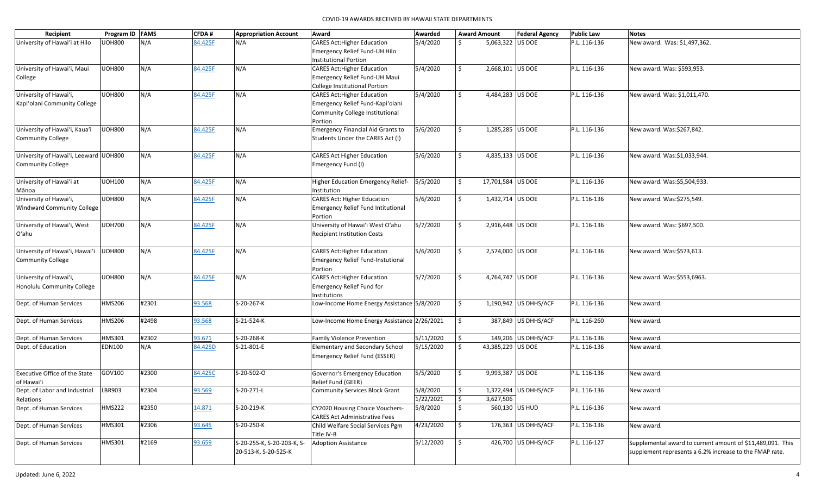| Recipient                              | Program ID FAMS |       | CFDA#   | <b>Appropriation Account</b> | Award                                                                   | Awarded   |    | <b>Award Amount</b> | <b>Federal Agency</b> | <b>Public Law</b> | <b>Notes</b>                                               |
|----------------------------------------|-----------------|-------|---------|------------------------------|-------------------------------------------------------------------------|-----------|----|---------------------|-----------------------|-------------------|------------------------------------------------------------|
| University of Hawai'i at Hilo          | UOH800          | N/A   | 84.425F | N/A                          | <b>CARES Act: Higher Education</b>                                      | 5/4/2020  |    | 5,063,322 US DOE    |                       | P.L. 116-136      | New award. Was: \$1,497,362.                               |
|                                        |                 |       |         |                              | Emergency Relief Fund-UH Hilo                                           |           |    |                     |                       |                   |                                                            |
|                                        |                 |       |         |                              | <b>Institutional Portion</b>                                            |           |    |                     |                       |                   |                                                            |
| University of Hawai'i, Maui            | <b>UOH800</b>   | N/A   | 84.425F | N/A                          | <b>CARES Act: Higher Education</b>                                      | 5/4/2020  | \$ | 2,668,101 US DOE    |                       | P.L. 116-136      | New award. Was: \$593,953.                                 |
| College                                |                 |       |         |                              | Emergency Relief Fund-UH Maui                                           |           |    |                     |                       |                   |                                                            |
|                                        |                 |       |         |                              | College Institutional Portion                                           |           |    |                     |                       |                   |                                                            |
| University of Hawai'i,                 | <b>UOH800</b>   | N/A   | 84.425F | N/A                          | <b>CARES Act: Higher Education</b>                                      | 5/4/2020  | \$ | 4,484,283 US DOE    |                       | P.L. 116-136      | New award. Was: \$1,011,470.                               |
| Kapi'olani Community College           |                 |       |         |                              | Emergency Relief Fund-Kapi'olani                                        |           |    |                     |                       |                   |                                                            |
|                                        |                 |       |         |                              | Community College Institutional                                         |           |    |                     |                       |                   |                                                            |
|                                        |                 |       |         |                              | Portion                                                                 |           |    |                     |                       |                   |                                                            |
| University of Hawai'i, Kaua'i          | <b>UOH800</b>   | N/A   | 84.425F | N/A                          | <b>Emergency Financial Aid Grants to</b>                                | 5/6/2020  | Ś. | 1,285,285 US DOE    |                       | P.L. 116-136      | New award. Was:\$267,842.                                  |
| Community College                      |                 |       |         |                              | Students Under the CARES Act (I)                                        |           |    |                     |                       |                   |                                                            |
|                                        |                 |       |         |                              |                                                                         |           |    |                     |                       |                   |                                                            |
| University of Hawai'i, Leeward UOH800  |                 | N/A   | 84.425F | N/A                          | <b>CARES Act Higher Education</b>                                       | 5/6/2020  | Ś. | 4,835,133 US DOE    |                       | P.L. 116-136      | New award. Was:\$1,033,944.                                |
| <b>Community College</b>               |                 |       |         |                              | Emergency Fund (I)                                                      |           |    |                     |                       |                   |                                                            |
|                                        |                 |       |         |                              |                                                                         |           |    |                     |                       |                   |                                                            |
| University of Hawai'i at               | <b>UOH100</b>   | N/A   | 84.425F | N/A                          | Higher Education Emergency Relief-                                      | 5/5/2020  | S. | 17,701,584 US DOE   |                       | P.L. 116-136      | New award. Was:\$5,504,933.                                |
| Mānoa<br>University of Hawai'i,        | <b>UOH800</b>   | N/A   | 84.425F | N/A                          | Institution<br><b>CARES Act: Higher Education</b>                       | 5/6/2020  | \$ | 1,432,714 US DOE    |                       | P.L. 116-136      |                                                            |
| <b>Windward Community College</b>      |                 |       |         |                              | <b>Emergency Relief Fund Intitutional</b>                               |           |    |                     |                       |                   | New award. Was:\$275,549.                                  |
|                                        |                 |       |         |                              | Portion                                                                 |           |    |                     |                       |                   |                                                            |
| University of Hawai'i, West            | <b>UOH700</b>   | N/A   | 84.425F | N/A                          | University of Hawai'i West O'ahu                                        | 5/7/2020  | \$ | 2,916,448 US DOE    |                       | P.L. 116-136      | New award. Was: \$697,500.                                 |
| Oʻahu                                  |                 |       |         |                              | <b>Recipient Institution Costs</b>                                      |           |    |                     |                       |                   |                                                            |
|                                        |                 |       |         |                              |                                                                         |           |    |                     |                       |                   |                                                            |
| University of Hawai'i, Hawai'i         | <b>UOH800</b>   | N/A   | 84.425F | N/A                          | <b>CARES Act: Higher Education</b>                                      | 5/6/2020  | Ś. | 2,574,000 US DOE    |                       | P.L. 116-136      | New award. Was:\$573,613.                                  |
| <b>Community College</b>               |                 |       |         |                              | <b>Emergency Relief Fund-Instutional</b>                                |           |    |                     |                       |                   |                                                            |
|                                        |                 |       |         |                              | Portion                                                                 |           |    |                     |                       |                   |                                                            |
| University of Hawai'i,                 | <b>UOH800</b>   | N/A   | 84.425F | N/A                          | <b>CARES Act: Higher Education</b>                                      | 5/7/2020  | \$ | 4,764,747 US DOE    |                       | P.L. 116-136      | New award. Was:\$553,6963.                                 |
| Honolulu Community College             |                 |       |         |                              | Emergency Relief Fund for                                               |           |    |                     |                       |                   |                                                            |
|                                        |                 |       |         |                              | Institutions                                                            |           |    |                     |                       |                   |                                                            |
| Dept. of Human Services                | <b>HMS206</b>   | #2301 | 93.568  | S-20-267-K                   | Low-Income Home Energy Assistance 5/8/2020                              |           | \$ |                     | 1,190,942 US DHHS/ACF | P.L. 116-136      | New award.                                                 |
|                                        |                 |       |         |                              |                                                                         |           |    |                     |                       |                   |                                                            |
| Dept. of Human Services                | <b>HMS206</b>   | #2498 | 93.568  | S-21-524-K                   | Low-Income Home Energy Assistance 2/26/2021                             |           | \$ |                     | 387,849 US DHHS/ACF   | P.L. 116-260      | New award.                                                 |
|                                        |                 |       |         |                              |                                                                         |           |    |                     |                       |                   |                                                            |
| Dept. of Human Services                | HMS301          | #2302 | 93.671  | S-20-268-K                   | <b>Family Violence Prevention</b>                                       | 5/11/2020 | \$ |                     | 149,206 US DHHS/ACF   | P.L. 116-136      | New award.                                                 |
| Dept. of Education                     | <b>EDN100</b>   | N/A   | 84.425D | S-21-801-E                   | Elementary and Secondary School                                         | 5/15/2020 | S. | 43,385,229 US DOE   |                       | P.L. 116-136      | New award.                                                 |
|                                        |                 |       |         |                              | Emergency Relief Fund (ESSER)                                           |           |    |                     |                       |                   |                                                            |
|                                        |                 |       |         |                              |                                                                         |           |    |                     |                       |                   |                                                            |
| <b>Executive Office of the State</b>   | GOV100          | #2300 | 84.425C | S-20-502-O                   | Governor's Emergency Education                                          | 5/5/2020  | Ŝ. | 9,993,387 US DOE    |                       | P.L. 116-136      | New award.                                                 |
| of Hawai'i                             |                 |       |         |                              | Relief Fund (GEER)                                                      |           |    |                     |                       |                   |                                                            |
| Dept. of Labor and Industrial   LBR903 |                 | #2304 | 93.569  | S-20-271-L                   | Community Services Block Grant                                          | 5/8/2020  | \$ |                     | 1,372,494 US DHHS/ACF | P.L. 116-136      | New award.                                                 |
| Relations                              |                 |       |         |                              |                                                                         | 1/22/2021 | \$ | 3,627,506           |                       |                   |                                                            |
| Dept. of Human Services                | <b>HMS222</b>   | #2350 | 14.871  | S-20-219-K                   | CY2020 Housing Choice Vouchers-<br><b>CARES Act Administrative Fees</b> | 5/8/2020  | \$ |                     | 560,130 US HUD        | P.L. 116-136      | New award.                                                 |
| Dept. of Human Services                | <b>HMS301</b>   | #2306 | 93.645  | S-20-250-K                   | Child Welfare Social Services Pgm                                       | 4/23/2020 | \$ |                     | 176,363 US DHHS/ACF   | P.L. 116-136      | New award.                                                 |
|                                        |                 |       |         |                              | Title IV-B                                                              |           |    |                     |                       |                   |                                                            |
| Dept. of Human Services                | HMS301          | #2169 | 93.659  | S-20-255-K, S-20-203-K, S-   | <b>Adoption Assistance</b>                                              | 5/12/2020 | \$ |                     | 426,700 US DHHS/ACF   | P.L. 116-127      | Supplemental award to current amount of \$11,489,091. This |
|                                        |                 |       |         | 20-513-K, S-20-525-K         |                                                                         |           |    |                     |                       |                   | supplement represents a 6.2% increase to the FMAP rate.    |
|                                        |                 |       |         |                              |                                                                         |           |    |                     |                       |                   |                                                            |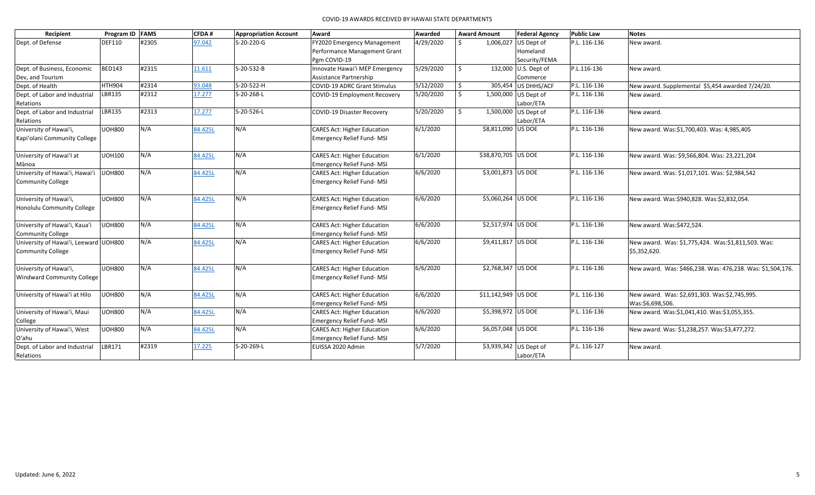| Recipient                             | Program ID FAMS |       | CFDA#   | <b>Appropriation Account</b> | Award                               | Awarded   |              | <b>Award Amount</b> | <b>Federal Agency</b>  | <b>Public Law</b> | <b>Notes</b>                                               |
|---------------------------------------|-----------------|-------|---------|------------------------------|-------------------------------------|-----------|--------------|---------------------|------------------------|-------------------|------------------------------------------------------------|
| Dept. of Defense                      | <b>DEF110</b>   | #2305 | 97.042  | S-20-220-G                   | FY2020 Emergency Management         | 4/29/2020 | $\zeta$      |                     | 1,006,027 US Dept of   | P.L. 116-136      | New award.                                                 |
|                                       |                 |       |         |                              | Performance Management Grant        |           |              |                     | Homeland               |                   |                                                            |
|                                       |                 |       |         |                              | Pgm COVID-19                        |           |              |                     | Security/FEMA          |                   |                                                            |
| Dept. of Business, Economic           | <b>BED143</b>   | #2315 | 11.611  | S-20-532-B                   | Innovate Hawai'i MEP Emergency      | 5/29/2020 | $\mathsf{S}$ |                     | 132,000 U.S. Dept of   | P.L.116-136       | New award.                                                 |
| Dev, and Tourism                      |                 |       |         |                              | Assistance Partnership              |           |              |                     | Commerce               |                   |                                                            |
| Dept. of Health                       | <b>HTH904</b>   | #2314 | 93.048  | S-20-522-H                   | <b>COVID-19 ADRC Grant Stimulus</b> | 5/12/2020 | $\mathsf{S}$ |                     | 305,454 US DHHS/ACF    | P.L. 116-136      | New award. Supplemental \$5,454 awarded 7/24/20.           |
| Dept. of Labor and Industrial         | <b>LBR135</b>   | #2312 | 17.277  | S-20-268-L                   | COVID-19 Employment Recovery        | 5/20/2020 | Ŝ.           |                     | 1,500,000 US Dept of   | P.L. 116-136      | New award.                                                 |
| Relations                             |                 |       |         |                              |                                     |           |              |                     | Labor/ETA              |                   |                                                            |
| Dept. of Labor and Industrial         | LBR135          | #2313 | 17.277  | S-20-526-L                   | <b>COVID-19 Disaster Recovery</b>   | 5/20/2020 | \$           |                     | 1,500,000 US Dept of   | P.L. 116-136      | New award.                                                 |
| Relations                             |                 |       |         |                              |                                     |           |              |                     | Labor/ETA              |                   |                                                            |
| University of Hawai'i,                | <b>UOH800</b>   | N/A   | 84.425L | N/A                          | <b>CARES Act: Higher Education</b>  | 6/1/2020  |              | \$8,811,090 US DOE  |                        | P.L. 116-136      | New award. Was:\$1,700,403. Was: 4,985,405                 |
| Kapi'olani Community College          |                 |       |         |                              | <b>Emergency Relief Fund-MSI</b>    |           |              |                     |                        |                   |                                                            |
|                                       |                 |       |         |                              |                                     |           |              |                     |                        |                   |                                                            |
| University of Hawai'l at              | <b>UOH100</b>   | N/A   | 84.425L | N/A                          | <b>CARES Act: Higher Education</b>  | 6/1/2020  |              | \$38,870,705 US DOE |                        | P.L. 116-136      | New award. Was: \$9,566,804. Was: 23,221,204               |
| Mānoa                                 |                 |       |         |                              | <b>Emergency Relief Fund-MSI</b>    |           |              |                     |                        |                   |                                                            |
| University of Hawai'i, Hawai'i        | <b>UOH800</b>   | N/A   | 84.425L | N/A                          | <b>CARES Act: Higher Education</b>  | 6/6/2020  |              | \$3,001,873 US DOE  |                        | P.L. 116-136      | New award. Was: \$1,017,101. Was: \$2,984,542              |
| <b>Community College</b>              |                 |       |         |                              | Emergency Relief Fund-MSI           |           |              |                     |                        |                   |                                                            |
|                                       |                 |       |         |                              |                                     |           |              |                     |                        |                   |                                                            |
| University of Hawai'i,                | <b>UOH800</b>   | N/A   | 84.425L | N/A                          | <b>CARES Act: Higher Education</b>  | 6/6/2020  |              | \$5,060,264 US DOE  |                        | P.L. 116-136      | New award. Was:\$940,828. Was:\$2,832,054.                 |
| Honolulu Community College            |                 |       |         |                              | <b>Emergency Relief Fund-MSI</b>    |           |              |                     |                        |                   |                                                            |
|                                       |                 |       |         |                              |                                     |           |              |                     |                        |                   |                                                            |
| University of Hawai'i, Kaua'i         | <b>UOH800</b>   | N/A   | 84.425L | N/A                          | <b>CARES Act: Higher Education</b>  | 6/6/2020  |              | \$2,517,974 US DOE  |                        | P.L. 116-136      | New award. Was:\$472,524.                                  |
| <b>Community College</b>              |                 |       |         |                              | Emergency Relief Fund-MSI           |           |              |                     |                        |                   |                                                            |
| University of Hawai'i, Leeward UOH800 |                 | N/A   | 84.425L | N/A                          | <b>CARES Act: Higher Education</b>  | 6/6/2020  |              | \$9,411,817 US DOE  |                        | P.L. 116-136      | New award. Was: \$1,775,424. Was:\$1,811,503. Was:         |
| <b>Community College</b>              |                 |       |         |                              | Emergency Relief Fund-MSI           |           |              |                     |                        |                   | \$5,352,620.                                               |
|                                       |                 |       |         |                              |                                     |           |              |                     |                        |                   |                                                            |
| University of Hawai'i,                | <b>UOH800</b>   | N/A   | 84.425L | N/A                          | <b>CARES Act: Higher Education</b>  | 6/6/2020  |              | \$2,768,347 US DOE  |                        | P.L. 116-136      | New award. Was: \$466,238. Was: 476,238. Was: \$1,504,176. |
| <b>Windward Community College</b>     |                 |       |         |                              | Emergency Relief Fund-MSI           |           |              |                     |                        |                   |                                                            |
|                                       |                 |       |         |                              |                                     |           |              |                     |                        |                   |                                                            |
| University of Hawai'i at Hilo         | <b>UOH800</b>   | N/A   | 84.425L | N/A                          | <b>CARES Act: Higher Education</b>  | 6/6/2020  |              | \$11,142,949 US DOE |                        | P.L. 116-136      | New award. Was: \$2,691,303. Was:\$2,745,995.              |
|                                       |                 |       |         |                              | Emergency Relief Fund-MSI           |           |              |                     |                        |                   | Was:\$6,698,506.                                           |
| University of Hawai'i, Maui           | <b>UOH800</b>   | N/A   | 84.425L | N/A                          | <b>CARES Act: Higher Education</b>  | 6/6/2020  |              | \$5,398,972 US DOE  |                        | P.L. 116-136      | New award. Was:\$1,041,410. Was:\$3,055,355.               |
| College                               |                 |       |         |                              | Emergency Relief Fund-MSI           |           |              |                     |                        |                   |                                                            |
| University of Hawai'i, West           | <b>UOH800</b>   | N/A   | 84.425L | N/A                          | <b>CARES Act: Higher Education</b>  | 6/6/2020  |              | \$6,057,048 US DOE  |                        | P.L. 116-136      | New award. Was: \$1,238,257. Was:\$3,477,272.              |
| O'ahu                                 |                 |       |         |                              | Emergency Relief Fund-MSI           |           |              |                     |                        |                   |                                                            |
| Dept. of Labor and Industrial         | LBR171          | #2319 | 17.225  | S-20-269-L                   | EUISSA 2020 Admin                   | 5/7/2020  |              |                     | \$3,939,342 US Dept of | P.L. 116-127      | New award.                                                 |
| Relations                             |                 |       |         |                              |                                     |           |              |                     | Labor/ETA              |                   |                                                            |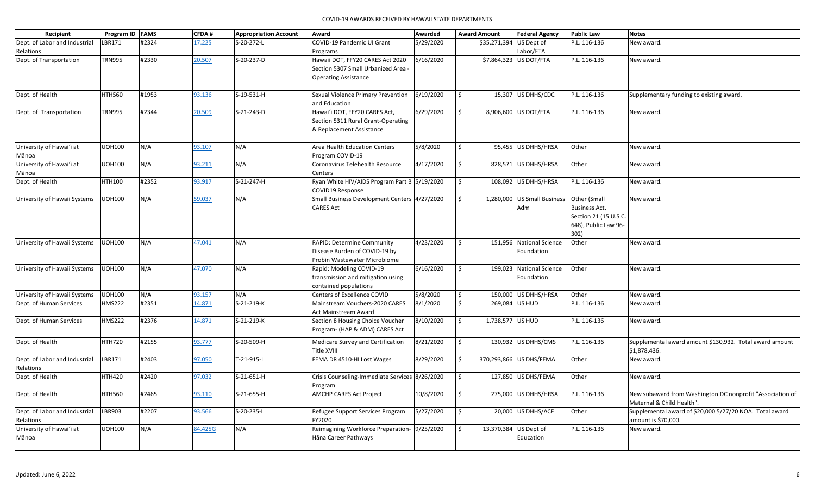| Recipient                     | Program ID   FAMS |       | CFDA#   | <b>Appropriation Account</b> | Award                                          | Awarded   |    | <b>Award Amount</b>     | <b>Federal Agency</b>       | <b>Public Law</b>     | <b>Notes</b>                                              |
|-------------------------------|-------------------|-------|---------|------------------------------|------------------------------------------------|-----------|----|-------------------------|-----------------------------|-----------------------|-----------------------------------------------------------|
| Dept. of Labor and Industrial | LBR171            | #2324 | 17.225  | S-20-272-L                   | COVID-19 Pandemic UI Grant                     | 5/29/2020 |    | \$35,271,394 US Dept of |                             | P.L. 116-136          | New award.                                                |
| Relations                     |                   |       |         |                              | Programs                                       |           |    |                         | Labor/ETA                   |                       |                                                           |
| Dept. of Transportation       | <b>TRN995</b>     | #2330 | 20.507  | S-20-237-D                   | Hawaii DOT, FFY20 CARES Act 2020               | 6/16/2020 |    |                         | \$7,864,323 US DOT/FTA      | P.L. 116-136          | New award.                                                |
|                               |                   |       |         |                              | Section 5307 Small Urbanized Area -            |           |    |                         |                             |                       |                                                           |
|                               |                   |       |         |                              | <b>Operating Assistance</b>                    |           |    |                         |                             |                       |                                                           |
|                               |                   |       |         |                              |                                                |           |    |                         |                             |                       |                                                           |
| Dept. of Health               | <b>HTH560</b>     | #1953 | 93.136  | S-19-531-H                   | Sexual Violence Primary Prevention             | 6/19/2020 | Ŝ. |                         | 15,307 US DHHS/CDC          | P.L. 116-136          | Supplementary funding to existing award.                  |
|                               |                   |       |         |                              | and Education                                  |           |    |                         |                             |                       |                                                           |
| Dept. of Transportation       | <b>TRN995</b>     | #2344 | 20.509  | S-21-243-D                   | Hawai'i DOT, FFY20 CARES Act,                  | 6/29/2020 | \$ |                         | 8,906,600 US DOT/FTA        | P.L. 116-136          | New award.                                                |
|                               |                   |       |         |                              | Section 5311 Rural Grant-Operating             |           |    |                         |                             |                       |                                                           |
|                               |                   |       |         |                              | & Replacement Assistance                       |           |    |                         |                             |                       |                                                           |
|                               |                   |       |         |                              |                                                |           |    |                         |                             |                       |                                                           |
| University of Hawai'i at      | <b>UOH100</b>     | N/A   | 93.107  | N/A                          | Area Health Education Centers                  | 5/8/2020  | Ś. |                         | 95,455 US DHHS/HRSA         | Other                 | New award.                                                |
| Mānoa                         |                   |       |         |                              | Program COVID-19                               |           |    |                         |                             |                       |                                                           |
| University of Hawai'i at      | <b>UOH100</b>     | N/A   | 93.211  | N/A                          | Coronavirus Telehealth Resource                | 4/17/2020 | \$ |                         | 828,571 US DHHS/HRSA        | Other                 | New award.                                                |
| Mānoa                         |                   |       |         |                              | Centers                                        |           |    |                         |                             |                       |                                                           |
| Dept. of Health               | HTH100            | #2352 | 93.917  | S-21-247-H                   | Ryan White HIV/AIDS Program Part B 5/19/2020   |           | \$ |                         | 108,092 US DHHS/HRSA        | P.L. 116-136          | New award.                                                |
|                               |                   |       |         |                              | COVID19 Response                               |           |    |                         |                             |                       |                                                           |
| University of Hawaii Systems  | <b>UOH100</b>     | N/A   | 59.037  | N/A                          | Small Business Development Centers 4/27/2020   |           | \$ |                         | 1,280,000 US Small Business | Other (Small          | New award.                                                |
|                               |                   |       |         |                              | <b>CARES Act</b>                               |           |    |                         | Adm                         | <b>Business Act,</b>  |                                                           |
|                               |                   |       |         |                              |                                                |           |    |                         |                             | Section 21 (15 U.S.C. |                                                           |
|                               |                   |       |         |                              |                                                |           |    |                         |                             | 648), Public Law 96-  |                                                           |
|                               |                   |       |         |                              |                                                |           |    |                         |                             | 302)                  |                                                           |
| University of Hawaii Systems  | <b>UOH100</b>     | N/A   | 47.041  | N/A                          | RAPID: Determine Community                     | 4/23/2020 | \$ |                         | 151,956 National Science    | Other                 | New award.                                                |
|                               |                   |       |         |                              | Disease Burden of COVID-19 by                  |           |    |                         | Foundation                  |                       |                                                           |
|                               |                   |       |         |                              | Probin Wastewater Microbiome                   |           |    |                         |                             |                       |                                                           |
| University of Hawaii Systems  | <b>UOH100</b>     | N/A   | 47.070  | N/A                          | Rapid: Modeling COVID-19                       | 6/16/2020 | \$ |                         | 199,023 National Science    | Other                 | New award.                                                |
|                               |                   |       |         |                              | transmission and mitigation using              |           |    |                         | Foundation                  |                       |                                                           |
|                               |                   |       |         |                              | contained populations                          |           |    |                         |                             |                       |                                                           |
| University of Hawaii Systems  | <b>UOH100</b>     | N/A   | 93.157  | N/A                          | Centers of Excellence COVID                    | 5/8/2020  | \$ |                         | 150,000 US DHHS/HRSA        | Other                 | New award.                                                |
| Dept. of Human Services       | <b>HMS222</b>     | #2351 | 14.871  | S-21-219-K                   | Mainstream Vouchers-2020 CARES                 | 8/1/2020  | \$ | 269,084 US HUD          |                             | P.L. 116-136          | New award.                                                |
|                               |                   |       |         |                              | <b>Act Mainstream Award</b>                    |           |    |                         |                             |                       |                                                           |
| Dept. of Human Services       | <b>HMS222</b>     | #2376 | 14.871  | S-21-219-K                   | Section 8 Housing Choice Voucher               | 8/10/2020 | \$ | 1,738,577 US HUD        |                             | P.L. 116-136          | New award.                                                |
|                               |                   |       |         |                              | Program- (HAP & ADM) CARES Act                 |           |    |                         |                             |                       |                                                           |
| Dept. of Health               | <b>HTH720</b>     | #2155 | 93.777  | S-20-509-H                   | Medicare Survey and Certification              | 8/21/2020 | \$ |                         | 130,932 US DHHS/CMS         | P.L. 116-136          | Supplemental award amount \$130,932. Total award amount   |
|                               |                   |       |         |                              | Title XVIII                                    |           |    |                         |                             |                       | \$1,878,436.                                              |
| Dept. of Labor and Industrial | LBR171            | #2403 | 97.050  | T-21-915-L                   | FEMA DR 4510-HI Lost Wages                     | 8/29/2020 | \$ |                         | 370,293,866 US DHS/FEMA     | Other                 | New award.                                                |
| Relations                     |                   |       |         |                              |                                                |           |    |                         |                             |                       |                                                           |
| Dept. of Health               | <b>HTH420</b>     | #2420 | 97.032  | S-21-651-H                   | Crisis Counseling-Immediate Services 8/26/2020 |           | \$ |                         | 127,850 US DHS/FEMA         | Other                 | New award.                                                |
|                               |                   |       |         |                              | Program                                        |           |    |                         |                             |                       |                                                           |
| Dept. of Health               | <b>HTH560</b>     | #2465 | 93.110  | S-21-655-H                   | <b>AMCHP CARES Act Project</b>                 | 10/8/2020 | \$ |                         | 275,000 US DHHS/HRSA        | P.L. 116-136          | New subaward from Washington DC nonprofit "Association of |
|                               |                   |       |         |                              |                                                |           |    |                         |                             |                       | Maternal & Child Health".                                 |
| Dept. of Labor and Industrial | LBR903            | #2207 | 93.566  | S-20-235-L                   | Refugee Support Services Program               | 5/27/2020 | \$ |                         | 20,000 US DHHS/ACF          | Other                 | Supplemental award of \$20,000 5/27/20 NOA. Total award   |
| Relations                     |                   |       |         |                              | FY2020                                         |           |    |                         |                             |                       | amount is \$70,000.                                       |
| University of Hawai'i at      | <b>UOH100</b>     | N/A   | 84.425G | N/A                          | Reimagining Workforce Preparation- 9/25/2020   |           | Ŝ. |                         | 13,370,384 US Dept of       | P.L. 116-136          | New award.                                                |
| Mānoa                         |                   |       |         |                              | Hāna Career Pathways                           |           |    |                         | Education                   |                       |                                                           |
|                               |                   |       |         |                              |                                                |           |    |                         |                             |                       |                                                           |
|                               |                   |       |         |                              |                                                |           |    |                         |                             |                       |                                                           |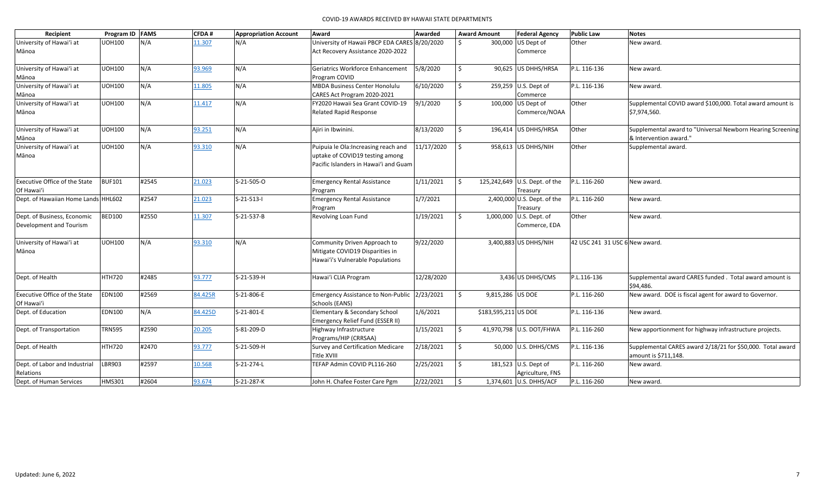| Recipient                            | Program ID FAMS |       | CFDA#   | <b>Appropriation Account</b> | Award                                            | Awarded    | <b>Award Amount</b> |                      | <b>Federal Agency</b>                   | <b>Public Law</b>              | <b>Notes</b>                                                                       |
|--------------------------------------|-----------------|-------|---------|------------------------------|--------------------------------------------------|------------|---------------------|----------------------|-----------------------------------------|--------------------------------|------------------------------------------------------------------------------------|
| University of Hawai'i at             | <b>UOH100</b>   | N/A   | 11.307  | N/A                          | University of Hawaii PBCP EDA CARES 8/20/2020    |            | Ś.                  |                      | 300,000 US Dept of                      | Other                          | New award.                                                                         |
| Mānoa                                |                 |       |         |                              | Act Recovery Assistance 2020-2022                |            |                     |                      | Commerce                                |                                |                                                                                    |
| University of Hawai'i at             | <b>UOH100</b>   | N/A   | 93.969  | N/A                          | Geriatrics Workforce Enhancement                 | 5/8/2020   | \$                  |                      | 90,625 US DHHS/HRSA                     | P.L. 116-136                   | New award.                                                                         |
| Mānoa                                |                 |       |         |                              | Program COVID                                    |            |                     |                      |                                         |                                |                                                                                    |
| University of Hawai'i at             | <b>UOH100</b>   | N/A   | 11.805  | N/A                          | <b>MBDA Business Center Honolulu</b>             | 6/10/2020  | Ś.                  |                      | 259,259 U.S. Dept of                    | P.L. 116-136                   | New award.                                                                         |
| Mānoa                                |                 |       |         |                              | CARES Act Program 2020-2021                      |            |                     |                      | Commerce                                |                                |                                                                                    |
| University of Hawai'i at             | <b>UOH100</b>   | N/A   | 11.417  | N/A                          | FY2020 Hawaii Sea Grant COVID-19                 | 9/1/2020   | \$                  |                      | 100,000 US Dept of                      | Other                          | Supplemental COVID award \$100,000. Total award amount is                          |
| Mānoa                                |                 |       |         |                              | <b>Related Rapid Response</b>                    |            |                     |                      | Commerce/NOAA                           |                                | \$7,974,560.                                                                       |
| University of Hawai'i at             | <b>UOH100</b>   | N/A   | 93.251  | N/A                          | Ajiri in Ibwinini.                               | 8/13/2020  | \$                  |                      | 196,414 US DHHS/HRSA                    | Other                          | Supplemental award to "Universal Newborn Hearing Screening                         |
| Mānoa                                |                 |       |         |                              |                                                  |            |                     |                      |                                         |                                | & Intervention award.                                                              |
| University of Hawai'i at             | <b>UOH100</b>   | N/A   | 93.310  | N/A                          | Puipuia le Ola: Increasing reach and             | 11/17/2020 | \$                  |                      | 958,613 US DHHS/NIH                     | Other                          | Supplemental award.                                                                |
| Mānoa                                |                 |       |         |                              | uptake of COVID19 testing among                  |            |                     |                      |                                         |                                |                                                                                    |
|                                      |                 |       |         |                              | Pacific Islanders in Hawai'i and Guam            |            |                     |                      |                                         |                                |                                                                                    |
| Executive Office of the State        | <b>BUF101</b>   | #2545 | 21.023  | S-21-505-O                   | <b>Emergency Rental Assistance</b>               | 1/11/2021  | Ŝ.                  |                      | 125,242,649 U.S. Dept. of the           | P.L. 116-260                   | New award.                                                                         |
| Of Hawai'i                           |                 |       |         |                              | Program                                          |            |                     |                      | Treasury                                |                                |                                                                                    |
| Dept. of Hawaiian Home Lands HHL602  |                 | #2547 | 21.023  | $S-21-513-1$                 | <b>Emergency Rental Assistance</b><br>Program    | 1/7/2021   |                     |                      | 2,400,000 U.S. Dept. of the<br>Treasury | P.L. 116-260                   | New award.                                                                         |
| Dept. of Business, Economic          | <b>BED100</b>   | #2550 | 11.307  | S-21-537-B                   | <b>Revolving Loan Fund</b>                       | 1/19/2021  | \$                  |                      | 1,000,000 U.S. Dept. of                 | Other                          | New award.                                                                         |
| Development and Tourism              |                 |       |         |                              |                                                  |            |                     |                      | Commerce, EDA                           |                                |                                                                                    |
| University of Hawai'i at             | <b>UOH100</b>   | N/A   | 93.310  | N/A                          | Community Driven Approach to                     | 9/22/2020  |                     |                      | 3,400,883 US DHHS/NIH                   | 42 USC 241 31 USC 6 New award. |                                                                                    |
| Mānoa                                |                 |       |         |                              | Mitigate COVID19 Disparities in                  |            |                     |                      |                                         |                                |                                                                                    |
|                                      |                 |       |         |                              | Hawai'i's Vulnerable Populations                 |            |                     |                      |                                         |                                |                                                                                    |
| Dept. of Health                      | HTH720          | #2485 | 93.777  | S-21-539-H                   | Hawai'i CLIA Program                             | 12/28/2020 |                     |                      | 3,436 US DHHS/CMS                       | P.L.116-136                    | Supplemental award CARES funded. Total award amount is                             |
|                                      |                 |       |         |                              |                                                  |            |                     |                      |                                         |                                | \$94.486.                                                                          |
| <b>Executive Office of the State</b> | <b>EDN100</b>   | #2569 | 84.425R | S-21-806-E                   | <b>Emergency Assistance to Non-Public</b>        | 2/23/2021  | \$                  | 9,815,286 US DOE     |                                         | P.L. 116-260                   | New award. DOE is fiscal agent for award to Governor.                              |
| Of Hawai'i                           |                 |       |         |                              | Schools (EANS)                                   |            |                     |                      |                                         |                                |                                                                                    |
| Dept. of Education                   | <b>EDN100</b>   | N/A   | 84.425D | S-21-801-E                   | Elementary & Secondary School                    | 1/6/2021   |                     | \$183,595,211 US DOE |                                         | P.L. 116-136                   | New award.                                                                         |
|                                      |                 |       |         |                              | Emergency Relief Fund (ESSER II)                 |            |                     |                      |                                         |                                |                                                                                    |
| Dept. of Transportation              | <b>TRN595</b>   | #2590 | 20.205  | S-81-209-D                   | Highway Infrastructure                           | 1/15/2021  | \$                  |                      | 41,970,798 U.S. DOT/FHWA                | P.L. 116-260                   | New apportionment for highway infrastructure projects.                             |
|                                      | <b>HTH720</b>   | #2470 |         |                              | Programs/HIP (CRRSAA)                            |            |                     |                      |                                         |                                |                                                                                    |
| Dept. of Health                      |                 |       | 93.777  | S-21-509-H                   | Survey and Certification Medicare<br>Title XVIII | 2/18/2021  | \$                  |                      | 50,000 U.S. DHHS/CMS                    | P.L. 116-136                   | Supplemental CARES award 2/18/21 for \$50,000. Total award<br>amount is \$711,148. |
| Dept. of Labor and Industrial        | LBR903          | #2597 | 10.568  | S-21-274-L                   | TEFAP Admin COVID PL116-260                      | 2/25/2021  | \$                  |                      | 181,523 U.S. Dept of                    | P.L. 116-260                   | New award.                                                                         |
| Relations                            |                 |       |         |                              |                                                  |            |                     |                      | Agriculture, FNS                        |                                |                                                                                    |
| Dept. of Human Services              | <b>HMS301</b>   | #2604 | 93.674  | S-21-287-K                   | John H. Chafee Foster Care Pgm                   | 2/22/2021  | Ŝ.                  |                      | 1,374,601 U.S. DHHS/ACF                 | P.L. 116-260                   | New award.                                                                         |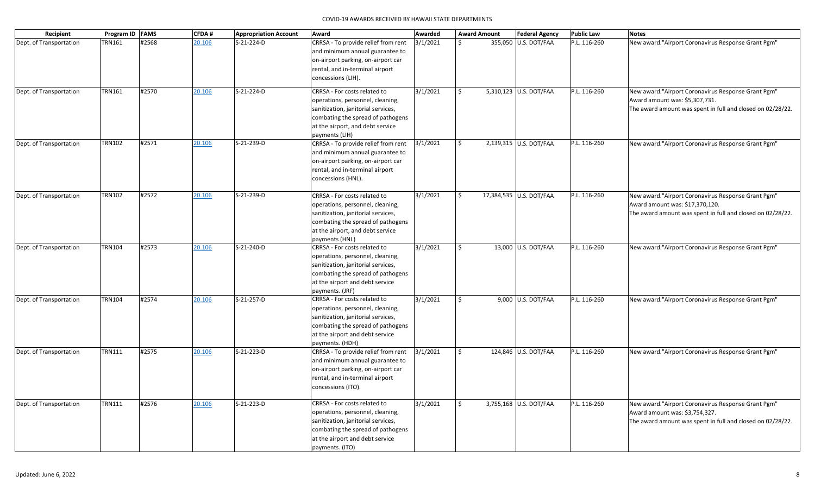| Recipient               | Program ID FAMS |       | <b>CFDA#</b> | <b>Appropriation Account</b> | Award                                                                                                                                                                                             | Awarded  |              | <b>Award Amount</b> | <b>Federal Agency</b>   | <b>Public Law</b> | <b>Notes</b>                                                                                                                                        |
|-------------------------|-----------------|-------|--------------|------------------------------|---------------------------------------------------------------------------------------------------------------------------------------------------------------------------------------------------|----------|--------------|---------------------|-------------------------|-------------------|-----------------------------------------------------------------------------------------------------------------------------------------------------|
| Dept. of Transportation | <b>TRN161</b>   | #2568 | 20.106       | S-21-224-D                   | CRRSA - To provide relief from rent<br>and minimum annual guarantee to<br>on-airport parking, on-airport car<br>rental, and in-terminal airport<br>concessions (LIH).                             | 3/1/2021 | Ŝ.           |                     | 355,050 U.S. DOT/FAA    | P.L. 116-260      | New award."Airport Coronavirus Response Grant Pgm"                                                                                                  |
| Dept. of Transportation | <b>TRN161</b>   | #2570 | 20.106       | S-21-224-D                   | CRRSA - For costs related to<br>operations, personnel, cleaning,<br>sanitization, janitorial services,<br>combating the spread of pathogens<br>at the airport, and debt service<br>payments (LIH) | 3/1/2021 | \$           |                     | 5,310,123 U.S. DOT/FAA  | P.L. 116-260      | New award. "Airport Coronavirus Response Grant Pgm"<br>Award amount was: \$5,307,731.<br>The award amount was spent in full and closed on 02/28/22. |
| Dept. of Transportation | <b>TRN102</b>   | #2571 | 20.106       | S-21-239-D                   | CRRSA - To provide relief from rent<br>and minimum annual guarantee to<br>on-airport parking, on-airport car<br>rental, and in-terminal airport<br>concessions (HNL).                             | 3/1/2021 | $\mathsf{S}$ |                     | 2,139,315 U.S. DOT/FAA  | P.L. 116-260      | New award."Airport Coronavirus Response Grant Pgm"                                                                                                  |
| Dept. of Transportation | <b>TRN102</b>   | #2572 | 20.106       | S-21-239-D                   | CRRSA - For costs related to<br>operations, personnel, cleaning,<br>sanitization, janitorial services,<br>combating the spread of pathogens<br>at the airport, and debt service<br>payments (HNL) | 3/1/2021 | Ŝ.           |                     | 17,384,535 U.S. DOT/FAA | P.L. 116-260      | New award."Airport Coronavirus Response Grant Pgm"<br>Award amount was: \$17,370,120.<br>The award amount was spent in full and closed on 02/28/22. |
| Dept. of Transportation | <b>TRN104</b>   | #2573 | 20.106       | S-21-240-D                   | CRRSA - For costs related to<br>operations, personnel, cleaning,<br>sanitization, janitorial services,<br>combating the spread of pathogens<br>at the airport and debt service<br>payments. (JRF) | 3/1/2021 | $\mathsf{S}$ |                     | 13,000 U.S. DOT/FAA     | P.L. 116-260      | New award. "Airport Coronavirus Response Grant Pgm"                                                                                                 |
| Dept. of Transportation | <b>TRN104</b>   | #2574 | 20.106       | S-21-257-D                   | CRRSA - For costs related to<br>operations, personnel, cleaning,<br>sanitization, janitorial services,<br>combating the spread of pathogens<br>at the airport and debt service<br>payments. (HDH) | 3/1/2021 | Ś.           |                     | 9,000 U.S. DOT/FAA      | P.L. 116-260      | New award. "Airport Coronavirus Response Grant Pgm"                                                                                                 |
| Dept. of Transportation | <b>TRN111</b>   | #2575 | 20.106       | S-21-223-D                   | CRRSA - To provide relief from rent<br>and minimum annual guarantee to<br>on-airport parking, on-airport car<br>rental, and in-terminal airport<br>concessions (ITO).                             | 3/1/2021 | Ŝ.           |                     | 124,846 U.S. DOT/FAA    | P.L. 116-260      | New award."Airport Coronavirus Response Grant Pgm"                                                                                                  |
| Dept. of Transportation | <b>TRN111</b>   | #2576 | 20.106       | S-21-223-D                   | CRRSA - For costs related to<br>operations, personnel, cleaning,<br>sanitization, janitorial services,<br>combating the spread of pathogens<br>at the airport and debt service<br>payments. (ITO) | 3/1/2021 | \$           |                     | 3,755,168 U.S. DOT/FAA  | P.L. 116-260      | New award. "Airport Coronavirus Response Grant Pgm"<br>Award amount was: \$3,754,327.<br>The award amount was spent in full and closed on 02/28/22. |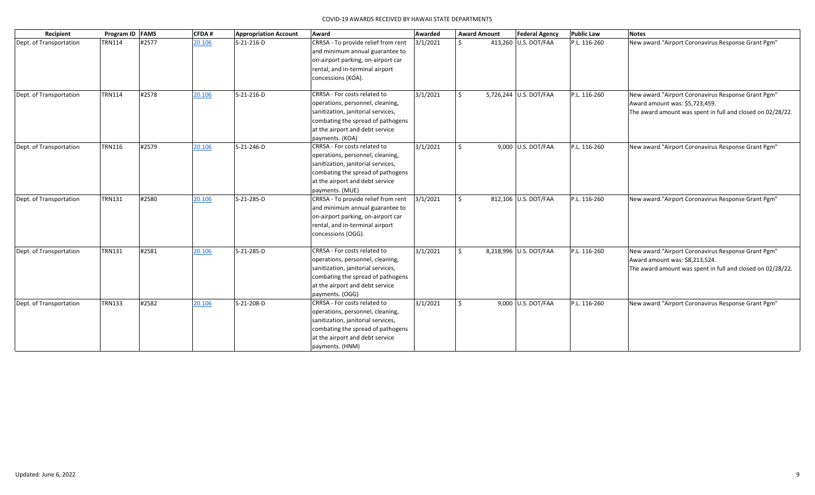| Recipient               |               | Program ID FAMS | CFDA#  | <b>Appropriation Account</b> | Award                                                                                                                                                                                             | Awarded  |    | <b>Award Amount</b> | <b>Federal Agency</b>  | <b>Public Law</b> | <b>Notes</b>                                                                                                                                        |
|-------------------------|---------------|-----------------|--------|------------------------------|---------------------------------------------------------------------------------------------------------------------------------------------------------------------------------------------------|----------|----|---------------------|------------------------|-------------------|-----------------------------------------------------------------------------------------------------------------------------------------------------|
| Dept. of Transportation | <b>TRN114</b> | #2577           | 20.106 | S-21-216-D                   | CRRSA - To provide relief from rent<br>and minimum annual guarantee to<br>on-airport parking, on-airport car<br>rental, and in-terminal airport<br>concessions (KOA).                             | 3/1/2021 | Š. |                     | 413,260 U.S. DOT/FAA   | P.L. 116-260      | New award."Airport Coronavirus Response Grant Pgm"                                                                                                  |
| Dept. of Transportation | <b>TRN114</b> | #2578           | 20.106 | S-21-216-D                   | CRRSA - For costs related to<br>operations, personnel, cleaning,<br>sanitization, janitorial services,<br>combating the spread of pathogens<br>at the airport and debt service<br>payments. (KOA) | 3/1/2021 | Ŝ. |                     | 5,726,244 U.S. DOT/FAA | P.L. 116-260      | New award."Airport Coronavirus Response Grant Pgm"<br>Award amount was: \$5,723,459.<br>The award amount was spent in full and closed on 02/28/22.  |
| Dept. of Transportation | <b>TRN116</b> | #2579           | 20.106 | S-21-246-D                   | CRRSA - For costs related to<br>operations, personnel, cleaning,<br>sanitization, janitorial services,<br>combating the spread of pathogens<br>at the airport and debt service<br>payments. (MUE) | 3/1/2021 | Ś. |                     | 9,000 U.S. DOT/FAA     | P.L. 116-260      | New award."Airport Coronavirus Response Grant Pgm"                                                                                                  |
| Dept. of Transportation | <b>TRN131</b> | #2580           | 20.106 | S-21-285-D                   | CRRSA - To provide relief from rent<br>and minimum annual guarantee to<br>on-airport parking, on-airport car<br>rental, and in-terminal airport<br>concessions (OGG).                             | 3/1/2021 | Ś. |                     | 812,106 U.S. DOT/FAA   | P.L. 116-260      | New award."Airport Coronavirus Response Grant Pgm"                                                                                                  |
| Dept. of Transportation | <b>TRN131</b> | #2581           | 20.106 | S-21-285-D                   | CRRSA - For costs related to<br>operations, personnel, cleaning,<br>sanitization, janitorial services,<br>combating the spread of pathogens<br>at the airport and debt service<br>payments. (OGG) | 3/1/2021 | Ŝ. |                     | 8,218,996 U.S. DOT/FAA | P.L. 116-260      | New award. "Airport Coronavirus Response Grant Pgm"<br>Award amount was: \$8,213,524.<br>The award amount was spent in full and closed on 02/28/22. |
| Dept. of Transportation | <b>TRN133</b> | #2582           | 20.106 | S-21-208-D                   | CRRSA - For costs related to<br>operations, personnel, cleaning,<br>sanitization, janitorial services,<br>combating the spread of pathogens<br>at the airport and debt service<br>payments. (HNM) | 3/1/2021 | Ŝ. |                     | $9,000$ U.S. DOT/FAA   | P.L. 116-260      | New award."Airport Coronavirus Response Grant Pgm"                                                                                                  |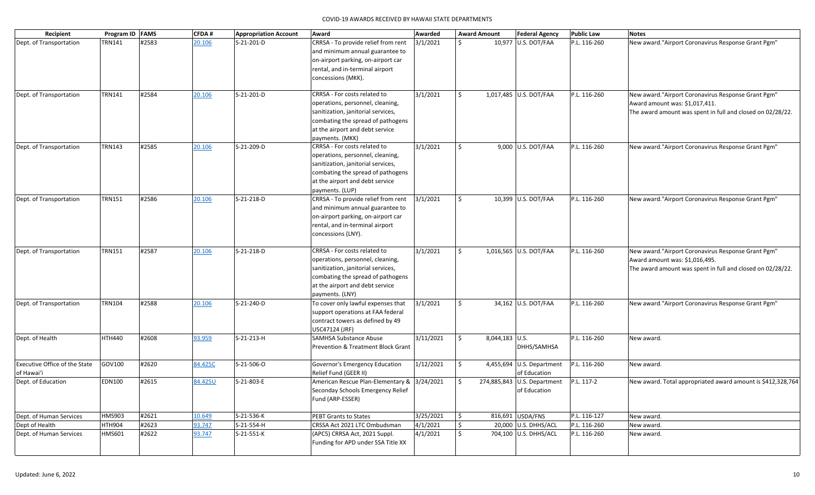| Recipient                                          | Program ID FAMS |       | <b>CFDA#</b> | <b>Appropriation Account</b> | Award                                                                                                                                                                                             | Awarded   |         | <b>Award Amount</b> | <b>Federal Agency</b>                                  | <b>Public Law</b> | <b>Notes</b>                                                                                                                                        |
|----------------------------------------------------|-----------------|-------|--------------|------------------------------|---------------------------------------------------------------------------------------------------------------------------------------------------------------------------------------------------|-----------|---------|---------------------|--------------------------------------------------------|-------------------|-----------------------------------------------------------------------------------------------------------------------------------------------------|
| Dept. of Transportation                            | TRN141          | #2583 | 20.106       | S-21-201-D                   | CRRSA - To provide relief from rent<br>and minimum annual guarantee to<br>on-airport parking, on-airport car<br>rental, and in-terminal airport<br>concessions (MKK).                             | 3/1/2021  | Ś.      |                     | 10,977 U.S. DOT/FAA                                    | P.L. 116-260      | New award."Airport Coronavirus Response Grant Pgm"                                                                                                  |
| Dept. of Transportation                            | <b>TRN141</b>   | #2584 | 20.106       | S-21-201-D                   | CRRSA - For costs related to<br>operations, personnel, cleaning,<br>sanitization, janitorial services,<br>combating the spread of pathogens<br>at the airport and debt service<br>payments. (MKK) | 3/1/2021  | Ś.      |                     | 1,017,485 U.S. DOT/FAA                                 | P.L. 116-260      | New award. "Airport Coronavirus Response Grant Pgm"<br>Award amount was: \$1,017,411.<br>The award amount was spent in full and closed on 02/28/22. |
| Dept. of Transportation                            | <b>TRN143</b>   | #2585 | 20.106       | S-21-209-D                   | CRRSA - For costs related to<br>operations, personnel, cleaning,<br>sanitization, janitorial services,<br>combating the spread of pathogens<br>at the airport and debt service<br>payments. (LUP) | 3/1/2021  | \$      |                     | 9,000 U.S. DOT/FAA                                     | P.L. 116-260      | New award. "Airport Coronavirus Response Grant Pgm"                                                                                                 |
| Dept. of Transportation                            | <b>TRN151</b>   | #2586 | 20.106       | S-21-218-D                   | CRRSA - To provide relief from rent<br>and minimum annual guarantee to<br>on-airport parking, on-airport car<br>rental, and in-terminal airport<br>concessions (LNY).                             | 3/1/2021  | \$      |                     | 10,399 U.S. DOT/FAA                                    | P.L. 116-260      | New award."Airport Coronavirus Response Grant Pgm"                                                                                                  |
| Dept. of Transportation                            | <b>TRN151</b>   | #2587 | 20.106       | S-21-218-D                   | CRRSA - For costs related to<br>operations, personnel, cleaning,<br>sanitization, janitorial services,<br>combating the spread of pathogens<br>at the airport and debt service<br>payments. (LNY) | 3/1/2021  | Ś.      |                     | 1,016,565 U.S. DOT/FAA                                 | P.L. 116-260      | New award."Airport Coronavirus Response Grant Pgm"<br>Award amount was: \$1,016,495.<br>The award amount was spent in full and closed on 02/28/22.  |
| Dept. of Transportation                            | <b>TRN104</b>   | #2588 | 20.106       | S-21-240-D                   | To cover only lawful expenses that<br>support operations at FAA federal<br>contract towers as defined by 49<br>USC47124 (JRF)                                                                     | 3/1/2021  | \$      |                     | 34,162 U.S. DOT/FAA                                    | P.L. 116-260      | New award."Airport Coronavirus Response Grant Pgm"                                                                                                  |
| Dept. of Health                                    | <b>HTH440</b>   | #2608 | 93.959       | $S-21-213-H$                 | <b>SAMHSA Substance Abuse</b><br><b>Prevention &amp; Treatment Block Grant</b>                                                                                                                    | 3/11/2021 | Ś.      | 8,044,183 U.S.      | DHHS/SAMHSA                                            | P.L. 116-260      | New award.                                                                                                                                          |
| <b>Executive Office of the State</b><br>of Hawai'i | GOV100          | #2620 | 84.425C      | S-21-506-O                   | Governor's Emergency Education<br>Relief Fund (GEER II)                                                                                                                                           | 1/12/2021 | \$      |                     | 4,455,694 U.S. Department<br>of Education              | P.L. 116-260      | New award.                                                                                                                                          |
| Dept. of Education                                 | <b>EDN100</b>   | #2615 | 84.425U      | S-21-803-E                   | American Rescue Plan-Elementary & 3/24/2021<br>Seconday Schools Emergency Relief<br>Fund (ARP-ESSER)                                                                                              |           | \$      |                     | 274,885,843 U.S. Department P.L. 117-2<br>of Education |                   | New award. Total appropriated award amount is \$412,328,764                                                                                         |
| Dept. of Human Services                            | HMS903          | #2621 | 10.649       | S-21-536-K                   | PEBT Grants to States                                                                                                                                                                             | 3/25/2021 | $\zeta$ |                     | 816,691 USDA/FNS                                       | P.L. 116-127      | New award.                                                                                                                                          |
| Dept of Health                                     | <b>HTH904</b>   | #2623 | 93.747       | S-21-554-H                   | CRSSA Act 2021 LTC Ombudsman                                                                                                                                                                      | 4/1/2021  | \$      |                     | 20,000 U.S. DHHS/ACL                                   | P.L. 116-260      | New award.                                                                                                                                          |
| Dept. of Human Services                            | <b>HMS601</b>   | #2622 | 93.747       | S-21-551-K                   | (APC5) CRRSA Act, 2021 Suppl.<br>Funding for APD under SSA Title XX                                                                                                                               | 4/1/2021  | \$      |                     | 704,100 U.S. DHHS/ACL                                  | P.L. 116-260      | New award.                                                                                                                                          |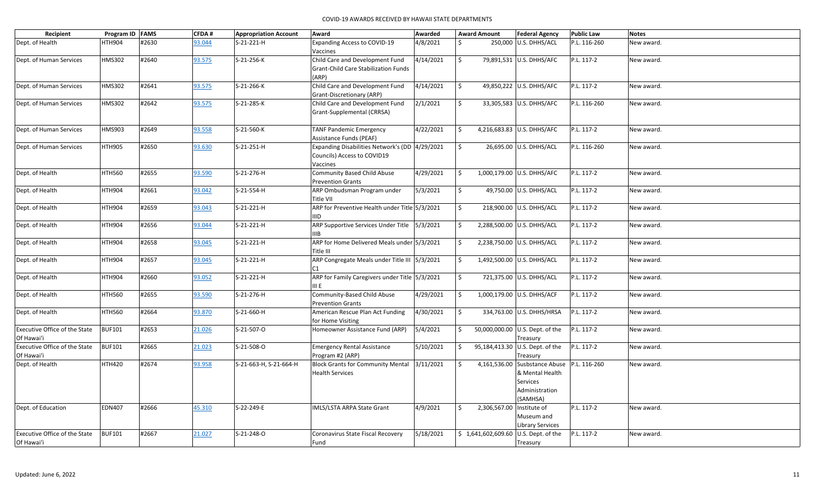| Recipient                     | Program ID FAMS |       | <b>CFDA#</b> | <b>Appropriation Account</b> | Award                                                   | Awarded   |    | <b>Award Amount</b> | <b>Federal Agency</b>                | <b>Public Law</b> | <b>Notes</b> |
|-------------------------------|-----------------|-------|--------------|------------------------------|---------------------------------------------------------|-----------|----|---------------------|--------------------------------------|-------------------|--------------|
| Dept. of Health               | <b>HTH904</b>   | #2630 | 93.044       | S-21-221-H                   | <b>Expanding Access to COVID-19</b>                     | 4/8/2021  | Ŝ. |                     | 250,000 U.S. DHHS/ACL                | P.L. 116-260      | New award.   |
|                               |                 |       |              |                              | Vaccines                                                |           |    |                     |                                      |                   |              |
| Dept. of Human Services       | <b>HMS302</b>   | #2640 | 93.575       | S-21-256-K                   | Child Care and Development Fund                         | 4/14/2021 | \$ |                     | 79,891,531 U.S. DHHS/AFC             | P.L. 117-2        | New award.   |
|                               |                 |       |              |                              | <b>Grant-Child Care Stabilization Funds</b>             |           |    |                     |                                      |                   |              |
|                               |                 |       |              |                              | (ARP)                                                   |           |    |                     |                                      |                   |              |
| Dept. of Human Services       | <b>HMS302</b>   | #2641 | 93.575       | S-21-266-K                   | Child Care and Development Fund                         | 4/14/2021 | \$ |                     | 49,850,222 U.S. DHHS/AFC             | P.L. 117-2        | New award.   |
|                               |                 |       |              |                              | Grant-Discretionary (ARP)                               |           |    |                     |                                      |                   |              |
| Dept. of Human Services       | <b>HMS302</b>   | #2642 | 93.575       | S-21-285-K                   | Child Care and Development Fund                         | 2/1/2021  | \$ |                     | 33,305,583 U.S. DHHS/AFC             | P.L. 116-260      | New award.   |
|                               |                 |       |              |                              | Grant-Supplemental (CRRSA)                              |           |    |                     |                                      |                   |              |
| Dept. of Human Services       | <b>HMS903</b>   | #2649 | 93.558       | S-21-560-K                   | <b>TANF Pandemic Emergency</b>                          | 4/22/2021 | Ŝ. |                     | 4,216,683.83 U.S. DHHS/AFC           | P.L. 117-2        | New award.   |
|                               |                 |       |              |                              | <b>Assistance Funds (PEAF)</b>                          |           |    |                     |                                      |                   |              |
| Dept. of Human Services       | <b>HTH905</b>   | #2650 | 93.630       | $S-21-251-H$                 | Expanding Disabilities Network's (DD 4/29/2021          |           | \$ |                     | 26,695.00 U.S. DHHS/ACL              | P.L. 116-260      | New award.   |
|                               |                 |       |              |                              | Councils) Access to COVID19                             |           |    |                     |                                      |                   |              |
|                               |                 |       |              |                              | Vaccines                                                |           |    |                     |                                      |                   |              |
| Dept. of Health               | <b>HTH560</b>   | #2655 | 93.590       | S-21-276-H                   | Community Based Child Abuse                             | 4/29/2021 | \$ |                     | 1,000,179.00 U.S. DHHS/AFC           | P.L. 117-2        | New award.   |
|                               |                 |       |              |                              | <b>Prevention Grants</b>                                |           |    |                     |                                      |                   |              |
| Dept. of Health               | <b>HTH904</b>   | #2661 | 93.042       | S-21-554-H                   | ARP Ombudsman Program under                             | 5/3/2021  | \$ |                     | 49,750.00 U.S. DHHS/ACL              | P.L. 117-2        | New award.   |
|                               |                 |       |              |                              | Title VII                                               |           |    |                     |                                      |                   |              |
| Dept. of Health               | <b>HTH904</b>   | #2659 | 93.043       | $S-21-221-H$                 | ARP for Preventive Health under Title 5/3/2021          |           | \$ |                     | 218,900.00 U.S. DHHS/ACL             | P.L. 117-2        | New award.   |
|                               |                 |       |              |                              | IIID                                                    |           |    |                     |                                      |                   |              |
| Dept. of Health               | <b>HTH904</b>   | #2656 | 93.044       | S-21-221-H                   | ARP Supportive Services Under Title                     | 5/3/2021  | \$ |                     | 2,288,500.00 U.S. DHHS/ACL           | P.L. 117-2        | New award.   |
|                               |                 |       |              |                              | IIIB                                                    |           |    |                     |                                      |                   |              |
| Dept. of Health               | <b>HTH904</b>   | #2658 | 93.045       | S-21-221-H                   | ARP for Home Delivered Meals under 5/3/2021             |           | \$ |                     | 2,238,750.00 U.S. DHHS/ACL           | P.L. 117-2        | New award.   |
|                               |                 |       |              |                              | Title III                                               |           |    |                     |                                      |                   |              |
| Dept. of Health               | <b>HTH904</b>   | #2657 | 93.045       | S-21-221-H                   | ARP Congregate Meals under Title III 5/3/2021           |           | \$ |                     | 1,492,500.00 U.S. DHHS/ACL           | P.L. 117-2        | New award.   |
|                               |                 |       |              |                              | C1                                                      |           |    |                     |                                      |                   |              |
| Dept. of Health               | <b>HTH904</b>   | #2660 | 93.052       | S-21-221-H                   | ARP for Family Caregivers under Title 5/3/2021          |           | \$ |                     | 721,375.00 U.S. DHHS/ACL             | P.L. 117-2        | New award.   |
|                               |                 |       |              |                              | III E                                                   | 4/29/2021 | \$ |                     |                                      |                   |              |
| Dept. of Health               | <b>HTH560</b>   | #2655 | 93.590       | S-21-276-H                   | Community-Based Child Abuse<br><b>Prevention Grants</b> |           |    |                     | 1,000,179.00 U.S. DHHS/ACF           | P.L. 117-2        | New award.   |
| Dept. of Health               | <b>HTH560</b>   | #2664 | 93.870       | S-21-660-H                   | American Rescue Plan Act Funding                        | 4/30/2021 | \$ |                     | 334,763.00 U.S. DHHS/HRSA            | P.L. 117-2        | New award.   |
|                               |                 |       |              |                              | for Home Visiting                                       |           |    |                     |                                      |                   |              |
| Executive Office of the State | <b>BUF101</b>   | #2653 | 21.026       | S-21-507-O                   | Homeowner Assistance Fund (ARP)                         | 5/4/2021  | \$ |                     | 50,000,000.00 U.S. Dept. of the      | P.L. 117-2        | New award.   |
| Of Hawai'i                    |                 |       |              |                              |                                                         |           |    |                     | Treasury                             |                   |              |
| Executive Office of the State | <b>BUF101</b>   | #2665 | 21.023       | S-21-508-O                   | <b>Emergency Rental Assistance</b>                      | 5/10/2021 | \$ |                     | 95,184,413.30 U.S. Dept. of the      | P.L. 117-2        | New award.   |
| Of Hawai'i                    |                 |       |              |                              | Program #2 (ARP)                                        |           |    |                     | Treasury                             |                   |              |
| Dept. of Health               | <b>HTH420</b>   | #2674 | 93.958       | S-21-663-H, S-21-664-H       | <b>Block Grants for Community Mental</b>                | 3/11/2021 | Ŝ. | 4,161,536.00        | Susbstance Abuse   P.L. 116-260      |                   | New award.   |
|                               |                 |       |              |                              | <b>Health Services</b>                                  |           |    |                     | & Mental Health                      |                   |              |
|                               |                 |       |              |                              |                                                         |           |    |                     | Services                             |                   |              |
|                               |                 |       |              |                              |                                                         |           |    |                     | Administration                       |                   |              |
|                               |                 |       |              |                              |                                                         |           |    |                     | (SAMHSA)                             |                   |              |
| Dept. of Education            | <b>EDN407</b>   | #2666 | 45.310       | S-22-249-E                   | IMLS/LSTA ARPA State Grant                              | 4/9/2021  | Ś. | 2,306,567.00        | Institute of                         | P.L. 117-2        | New award.   |
|                               |                 |       |              |                              |                                                         |           |    |                     | Museum and                           |                   |              |
|                               |                 |       |              |                              |                                                         |           |    |                     | Library Services                     |                   |              |
| Executive Office of the State | <b>BUF101</b>   | #2667 | 21.027       | S-21-248-O                   | Coronavirus State Fiscal Recovery                       | 5/18/2021 |    |                     | \$1,641,602,609.60 U.S. Dept. of the | P.L. 117-2        | New award.   |
| Of Hawai'i                    |                 |       |              |                              | Fund                                                    |           |    |                     | Treasury                             |                   |              |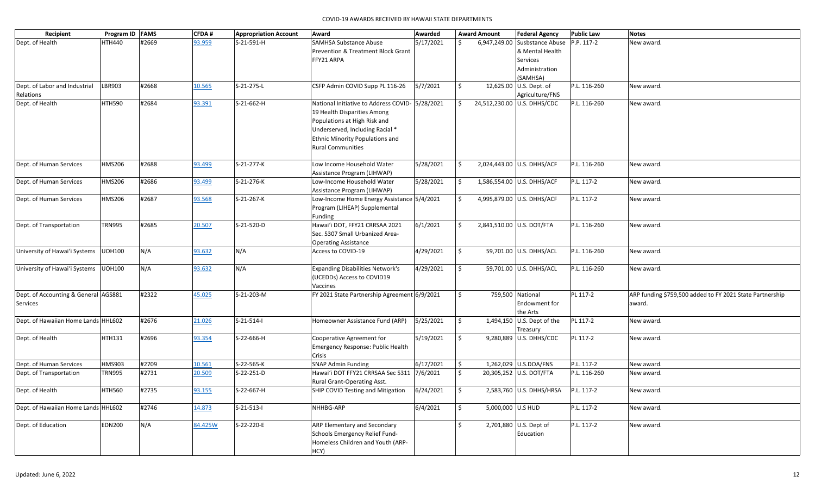| Recipient                            | Program ID FAMS |       | <b>CFDA#</b> | <b>Appropriation Account</b> | Award                                                                 | Awarded   |                     | <b>Award Amount</b> | <b>Federal Agency</b>                    | <b>Public Law</b> | <b>Notes</b>                                             |
|--------------------------------------|-----------------|-------|--------------|------------------------------|-----------------------------------------------------------------------|-----------|---------------------|---------------------|------------------------------------------|-------------------|----------------------------------------------------------|
| Dept. of Health                      | HTH440          | #2669 | 93.959       | S-21-591-H                   | <b>SAMHSA Substance Abuse</b>                                         | 5/17/2021 | Ś.                  |                     | 6,947,249.00 Susbstance Abuse P.P. 117-2 |                   | New award.                                               |
|                                      |                 |       |              |                              | <b>Prevention &amp; Treatment Block Grant</b>                         |           |                     |                     | & Mental Health                          |                   |                                                          |
|                                      |                 |       |              |                              | FFY21 ARPA                                                            |           |                     |                     | Services                                 |                   |                                                          |
|                                      |                 |       |              |                              |                                                                       |           |                     |                     | Administration                           |                   |                                                          |
|                                      |                 |       |              |                              |                                                                       |           |                     |                     | (SAMHSA)                                 |                   |                                                          |
| Dept. of Labor and Industrial        | LBR903          | #2668 | 10.565       | S-21-275-L                   | CSFP Admin COVID Supp PL 116-26                                       | 5/7/2021  | \$                  |                     | 12,625.00 U.S. Dept. of                  | P.L. 116-260      | New award.                                               |
| Relations                            |                 |       |              |                              |                                                                       |           |                     |                     | Agriculture/FNS                          |                   |                                                          |
| Dept. of Health                      | <b>HTH590</b>   | #2684 | 93.391       | S-21-662-H                   | National Initiative to Address COVID- 5/28/2021                       |           | \$                  |                     | 24,512,230.00 U.S. DHHS/CDC              | P.L. 116-260      | New award.                                               |
|                                      |                 |       |              |                              | 19 Health Disparities Among                                           |           |                     |                     |                                          |                   |                                                          |
|                                      |                 |       |              |                              | Populations at High Risk and                                          |           |                     |                     |                                          |                   |                                                          |
|                                      |                 |       |              |                              | Underserved, Including Racial *                                       |           |                     |                     |                                          |                   |                                                          |
|                                      |                 |       |              |                              | Ethnic Minority Populations and                                       |           |                     |                     |                                          |                   |                                                          |
|                                      |                 |       |              |                              | <b>Rural Communities</b>                                              |           |                     |                     |                                          |                   |                                                          |
|                                      |                 |       |              |                              |                                                                       |           |                     |                     |                                          |                   |                                                          |
| Dept. of Human Services              | HMS206          | #2688 | 93.499       | S-21-277-K                   | Low Income Household Water                                            | 5/28/2021 | S.                  |                     | 2,024,443.00 U.S. DHHS/ACF               | P.L. 116-260      | New award.                                               |
|                                      |                 |       |              |                              | Assistance Program (LIHWAP)                                           |           |                     |                     |                                          |                   |                                                          |
| Dept. of Human Services              | HMS206          | #2686 | 93.499       | S-21-276-K                   | Low-Income Household Water                                            | 5/28/2021 | \$                  |                     | 1,586,554.00 U.S. DHHS/ACF               | P.L. 117-2        | New award.                                               |
|                                      |                 |       |              |                              | Assistance Program (LIHWAP)                                           |           |                     |                     |                                          |                   |                                                          |
| Dept. of Human Services              | HMS206          | #2687 | 93.568       | S-21-267-K                   | Low-Income Home Energy Assistance 5/4/2021                            |           | \$                  |                     | 4,995,879.00 U.S. DHHS/ACF               | P.L. 117-2        | New award.                                               |
|                                      |                 |       |              |                              | Program (LIHEAP) Supplemental                                         |           |                     |                     |                                          |                   |                                                          |
|                                      |                 |       |              |                              | Funding                                                               |           |                     |                     |                                          |                   |                                                          |
| Dept. of Transportation              | <b>TRN995</b>   | #2685 | 20.507       | S-21-520-D                   | Hawai'i DOT, FFY21 CRRSAA 2021                                        | 6/1/2021  | \$                  |                     | 2,841,510.00 U.S. DOT/FTA                | P.L. 116-260      | New award.                                               |
|                                      |                 |       |              |                              | Sec. 5307 Small Urbanized Area-                                       |           |                     |                     |                                          |                   |                                                          |
|                                      |                 |       |              |                              | <b>Operating Assistance</b>                                           |           |                     |                     |                                          |                   |                                                          |
| University of Hawai'i Systems        | <b>UOH100</b>   | N/A   | 93.632       | N/A                          | Access to COVID-19                                                    | 4/29/2021 | $\mathsf{S}$        |                     | 59,701.00 U.S. DHHS/ACL                  | P.L. 116-260      | New award.                                               |
|                                      |                 |       |              |                              |                                                                       |           |                     |                     |                                          |                   |                                                          |
| University of Hawai'i Systems        | <b>UOH100</b>   | N/A   | 93.632       | N/A                          | <b>Expanding Disabilities Network's</b>                               | 4/29/2021 | $\zeta$             |                     | 59,701.00 U.S. DHHS/ACL                  | P.L. 116-260      | New award.                                               |
|                                      |                 |       |              |                              | (UCEDDs) Access to COVID19                                            |           |                     |                     |                                          |                   |                                                          |
|                                      |                 |       |              |                              | Vaccines                                                              |           |                     |                     |                                          |                   |                                                          |
| Dept. of Accounting & General AGS881 |                 | #2322 | 45.025       | S-21-203-M                   | FY 2021 State Partnership Agreement 6/9/2021                          |           | \$                  |                     | 759,500 National                         | PL 117-2          | ARP funding \$759,500 added to FY 2021 State Partnership |
| Services                             |                 |       |              |                              |                                                                       |           |                     |                     | <b>Endowment for</b>                     |                   | award.                                                   |
|                                      |                 |       |              |                              |                                                                       |           |                     |                     | the Arts                                 |                   |                                                          |
| Dept. of Hawaiian Home Lands HHL602  |                 | #2676 | 21.026       | $S-21-514-1$                 | Homeowner Assistance Fund (ARP)                                       | 5/25/2021 | $\ddot{\mathsf{S}}$ |                     | 1,494,150 U.S. Dept of the               | PL 117-2          | New award.                                               |
|                                      |                 |       |              |                              |                                                                       |           |                     |                     | Treasury                                 |                   |                                                          |
| Dept. of Health                      | HTH131          | #2696 | 93.354       | S-22-666-H                   | Cooperative Agreement for                                             | 5/19/2021 | \$                  |                     | 9,280,889   U.S. DHHS/CDC                | PL 117-2          | New award.                                               |
|                                      |                 |       |              |                              | Emergency Response: Public Health                                     |           |                     |                     |                                          |                   |                                                          |
|                                      |                 |       |              |                              | Crisis                                                                |           |                     |                     |                                          |                   |                                                          |
| Dept. of Human Services              | HMS903          | #2709 | 10.561       | S-22-565-K                   | <b>SNAP Admin Funding</b>                                             | 6/17/2021 | $\ddot{\mathsf{S}}$ |                     | 1,262,029 U.S.DOA/FNS                    | P.L. 117-2        | New award.                                               |
| Dept. of Transportation              | TRN995          | #2731 | 20.509       | S-22-251-D                   | Hawai'i DOT FFY21 CRRSAA Sec 5311 7/6/2021                            |           | S.                  |                     | 20,305,252 U.S. DOT/FTA                  | P.L. 116-260      | New award.                                               |
|                                      |                 |       |              |                              | Rural Grant-Operating Asst.                                           |           |                     |                     | 2,583,760 U.S. DHHS/HRSA P.L. 117-2      |                   |                                                          |
| Dept. of Health                      | <b>HTH560</b>   | #2735 | 93.155       | S-22-667-H                   | SHIP COVID Testing and Mitigation $\left  \frac{6}{24}{2021} \right $ |           | $\vert$ \$          |                     |                                          |                   | New award.                                               |
| Dept. of Hawaiian Home Lands HHL602  |                 | #2746 | 14.873       | $S-21-513-1$                 | NHHBG-ARP                                                             | 6/4/2021  | $\ddot{\mathsf{S}}$ | 5,000,000 U.S HUD   |                                          | P.L. 117-2        | New award.                                               |
|                                      |                 |       |              |                              |                                                                       |           |                     |                     |                                          |                   |                                                          |
| Dept. of Education                   | <b>EDN200</b>   | N/A   | 84.425W      | S-22-220-E                   | ARP Elementary and Secondary                                          |           | \$                  |                     | 2,701,880 U.S. Dept of                   | P.L. 117-2        | New award.                                               |
|                                      |                 |       |              |                              | Schools Emergency Relief Fund-                                        |           |                     |                     | Education                                |                   |                                                          |
|                                      |                 |       |              |                              | Homeless Children and Youth (ARP-                                     |           |                     |                     |                                          |                   |                                                          |
|                                      |                 |       |              |                              | HCY)                                                                  |           |                     |                     |                                          |                   |                                                          |
|                                      |                 |       |              |                              |                                                                       |           |                     |                     |                                          |                   |                                                          |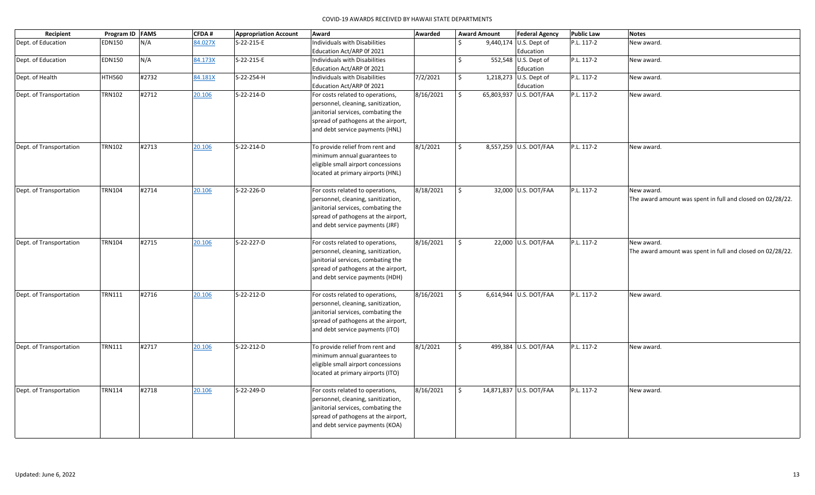| Recipient               | Program ID FAMS |       | <b>CFDA#</b> | <b>Appropriation Account</b> | Award                                                                  | Awarded   |              | <b>Award Amount</b> | <b>Federal Agency</b>   | <b>Public Law</b> | <b>Notes</b>                                               |
|-------------------------|-----------------|-------|--------------|------------------------------|------------------------------------------------------------------------|-----------|--------------|---------------------|-------------------------|-------------------|------------------------------------------------------------|
| Dept. of Education      | <b>EDN150</b>   | N/A   | 84.027X      | S-22-215-E                   | Individuals with Disabilities                                          |           | \$           |                     | 9,440,174 U.S. Dept of  | P.L. 117-2        | New award.                                                 |
|                         |                 |       |              |                              | Education Act/ARP 0f 2021                                              |           |              |                     | Education               |                   |                                                            |
| Dept. of Education      | <b>EDN150</b>   | N/A   | 84.173X      | S-22-215-E                   | Individuals with Disabilities                                          |           | \$           |                     | 552,548 U.S. Dept of    | P.L. 117-2        | New award.                                                 |
|                         |                 |       |              |                              | Education Act/ARP 0f 2021                                              |           |              |                     | Education               |                   |                                                            |
| Dept. of Health         | <b>HTH560</b>   | #2732 | 84.181X      | S-22-254-H                   | Individuals with Disabilities                                          | 7/2/2021  | \$           |                     | 1,218,273 U.S. Dept of  | P.L. 117-2        | New award.                                                 |
|                         |                 |       |              |                              | Education Act/ARP 0f 2021                                              |           |              |                     | Education               |                   |                                                            |
| Dept. of Transportation | <b>TRN102</b>   | #2712 | 20.106       | S-22-214-D                   | For costs related to operations,                                       | 8/16/2021 | \$           |                     | 65,803,937 U.S. DOT/FAA | P.L. 117-2        | New award.                                                 |
|                         |                 |       |              |                              | personnel, cleaning, sanitization,                                     |           |              |                     |                         |                   |                                                            |
|                         |                 |       |              |                              | janitorial services, combating the                                     |           |              |                     |                         |                   |                                                            |
|                         |                 |       |              |                              | spread of pathogens at the airport,                                    |           |              |                     |                         |                   |                                                            |
|                         |                 |       |              |                              | and debt service payments (HNL)                                        |           |              |                     |                         |                   |                                                            |
| Dept. of Transportation | <b>TRN102</b>   | #2713 | 20.106       | S-22-214-D                   | To provide relief from rent and                                        | 8/1/2021  | Ś.           |                     | 8,557,259 U.S. DOT/FAA  | P.L. 117-2        | New award.                                                 |
|                         |                 |       |              |                              | minimum annual guarantees to                                           |           |              |                     |                         |                   |                                                            |
|                         |                 |       |              |                              | eligible small airport concessions                                     |           |              |                     |                         |                   |                                                            |
|                         |                 |       |              |                              | located at primary airports (HNL)                                      |           |              |                     |                         |                   |                                                            |
|                         |                 |       |              |                              |                                                                        |           |              |                     |                         |                   |                                                            |
| Dept. of Transportation | <b>TRN104</b>   | #2714 | 20.106       | S-22-226-D                   | For costs related to operations,                                       | 8/18/2021 | \$           |                     | 32,000 U.S. DOT/FAA     | P.L. 117-2        | New award.                                                 |
|                         |                 |       |              |                              | personnel, cleaning, sanitization,                                     |           |              |                     |                         |                   | The award amount was spent in full and closed on 02/28/22. |
|                         |                 |       |              |                              | janitorial services, combating the                                     |           |              |                     |                         |                   |                                                            |
|                         |                 |       |              |                              | spread of pathogens at the airport,                                    |           |              |                     |                         |                   |                                                            |
|                         |                 |       |              |                              | and debt service payments (JRF)                                        |           |              |                     |                         |                   |                                                            |
|                         |                 |       |              |                              |                                                                        |           |              |                     |                         |                   |                                                            |
| Dept. of Transportation | <b>TRN104</b>   | #2715 | 20.106       | S-22-227-D                   | For costs related to operations,                                       | 8/16/2021 | \$           |                     | 22,000 U.S. DOT/FAA     | P.L. 117-2        | New award.                                                 |
|                         |                 |       |              |                              | personnel, cleaning, sanitization,                                     |           |              |                     |                         |                   | The award amount was spent in full and closed on 02/28/22. |
|                         |                 |       |              |                              | janitorial services, combating the                                     |           |              |                     |                         |                   |                                                            |
|                         |                 |       |              |                              | spread of pathogens at the airport,<br>and debt service payments (HDH) |           |              |                     |                         |                   |                                                            |
|                         |                 |       |              |                              |                                                                        |           |              |                     |                         |                   |                                                            |
| Dept. of Transportation | <b>TRN111</b>   | #2716 | 20.106       | S-22-212-D                   | For costs related to operations,                                       | 8/16/2021 | $\mathsf{S}$ |                     | 6,614,944 U.S. DOT/FAA  | P.L. 117-2        | New award.                                                 |
|                         |                 |       |              |                              | personnel, cleaning, sanitization,                                     |           |              |                     |                         |                   |                                                            |
|                         |                 |       |              |                              | janitorial services, combating the                                     |           |              |                     |                         |                   |                                                            |
|                         |                 |       |              |                              | spread of pathogens at the airport,                                    |           |              |                     |                         |                   |                                                            |
|                         |                 |       |              |                              | and debt service payments (ITO)                                        |           |              |                     |                         |                   |                                                            |
|                         |                 |       |              |                              |                                                                        |           |              |                     |                         |                   |                                                            |
| Dept. of Transportation | <b>TRN111</b>   | #2717 | 20.106       | S-22-212-D                   | To provide relief from rent and                                        | 8/1/2021  | \$           |                     | 499,384 U.S. DOT/FAA    | P.L. 117-2        | New award.                                                 |
|                         |                 |       |              |                              | minimum annual guarantees to                                           |           |              |                     |                         |                   |                                                            |
|                         |                 |       |              |                              | eligible small airport concessions                                     |           |              |                     |                         |                   |                                                            |
|                         |                 |       |              |                              | located at primary airports (ITO)                                      |           |              |                     |                         |                   |                                                            |
| Dept. of Transportation | <b>TRN114</b>   | #2718 | 20.106       | S-22-249-D                   | For costs related to operations,                                       | 8/16/2021 | \$           |                     | 14,871,837 U.S. DOT/FAA | P.L. 117-2        | New award.                                                 |
|                         |                 |       |              |                              | personnel, cleaning, sanitization,                                     |           |              |                     |                         |                   |                                                            |
|                         |                 |       |              |                              | janitorial services, combating the                                     |           |              |                     |                         |                   |                                                            |
|                         |                 |       |              |                              | spread of pathogens at the airport,                                    |           |              |                     |                         |                   |                                                            |
|                         |                 |       |              |                              | and debt service payments (KOA)                                        |           |              |                     |                         |                   |                                                            |
|                         |                 |       |              |                              |                                                                        |           |              |                     |                         |                   |                                                            |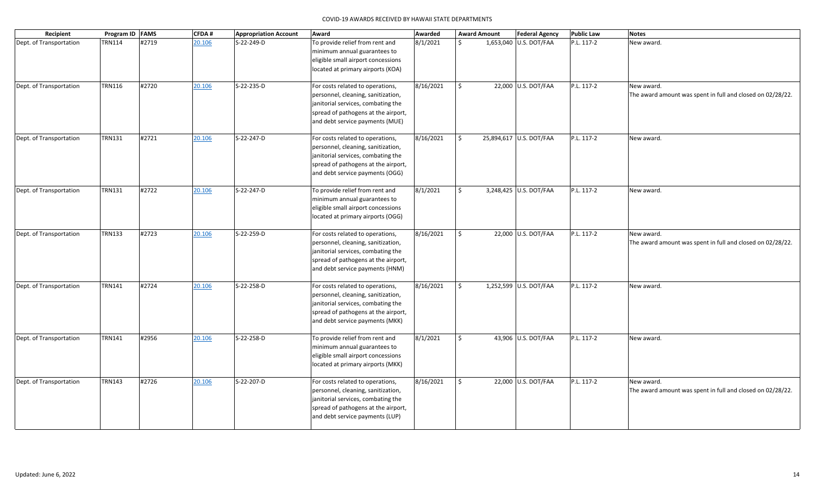| Recipient               | Program ID   FAMS |       | <b>CFDA#</b> | <b>Appropriation Account</b> | Award                                                                                                                                                                                  | Awarded   |               | <b>Award Amount</b> | <b>Federal Agency</b>   | <b>Public Law</b> | <b>Notes</b>                                                             |
|-------------------------|-------------------|-------|--------------|------------------------------|----------------------------------------------------------------------------------------------------------------------------------------------------------------------------------------|-----------|---------------|---------------------|-------------------------|-------------------|--------------------------------------------------------------------------|
| Dept. of Transportation | <b>TRN114</b>     | #2719 | 20.106       | S-22-249-D                   | To provide relief from rent and<br>minimum annual guarantees to<br>eligible small airport concessions<br>located at primary airports (KOA)                                             | 8/1/2021  | \$            |                     | 1,653,040 U.S. DOT/FAA  | P.L. 117-2        | New award.                                                               |
| Dept. of Transportation | <b>TRN116</b>     | #2720 | 20.106       | S-22-235-D                   | For costs related to operations,<br>personnel, cleaning, sanitization,<br>janitorial services, combating the<br>spread of pathogens at the airport,<br>and debt service payments (MUE) | 8/16/2021 | \$            |                     | 22,000 U.S. DOT/FAA     | P.L. 117-2        | New award.<br>The award amount was spent in full and closed on 02/28/22. |
| Dept. of Transportation | <b>TRN131</b>     | #2721 | 20.106       | S-22-247-D                   | For costs related to operations,<br>personnel, cleaning, sanitization,<br>janitorial services, combating the<br>spread of pathogens at the airport,<br>and debt service payments (OGG) | 8/16/2021 | $\frac{1}{2}$ |                     | 25,894,617 U.S. DOT/FAA | P.L. 117-2        | New award.                                                               |
| Dept. of Transportation | <b>TRN131</b>     | #2722 | 20.106       | S-22-247-D                   | To provide relief from rent and<br>minimum annual guarantees to<br>eligible small airport concessions<br>located at primary airports (OGG)                                             | 8/1/2021  | \$            |                     | 3,248,425 U.S. DOT/FAA  | P.L. 117-2        | New award.                                                               |
| Dept. of Transportation | <b>TRN133</b>     | #2723 | 20.106       | S-22-259-D                   | For costs related to operations,<br>personnel, cleaning, sanitization,<br>janitorial services, combating the<br>spread of pathogens at the airport,<br>and debt service payments (HNM) | 8/16/2021 | \$            |                     | 22,000 U.S. DOT/FAA     | P.L. 117-2        | New award.<br>The award amount was spent in full and closed on 02/28/22. |
| Dept. of Transportation | <b>TRN141</b>     | #2724 | 20.106       | S-22-258-D                   | For costs related to operations,<br>personnel, cleaning, sanitization,<br>janitorial services, combating the<br>spread of pathogens at the airport,<br>and debt service payments (MKK) | 8/16/2021 | \$            |                     | 1,252,599 U.S. DOT/FAA  | P.L. 117-2        | New award.                                                               |
| Dept. of Transportation | <b>TRN141</b>     | #2956 | 20.106       | S-22-258-D                   | To provide relief from rent and<br>minimum annual guarantees to<br>eligible small airport concessions<br>located at primary airports (MKK)                                             | 8/1/2021  | Ś.            |                     | 43,906 U.S. DOT/FAA     | P.L. 117-2        | New award.                                                               |
| Dept. of Transportation | <b>TRN143</b>     | #2726 | 20.106       | S-22-207-D                   | For costs related to operations,<br>personnel, cleaning, sanitization,<br>janitorial services, combating the<br>spread of pathogens at the airport,<br>and debt service payments (LUP) | 8/16/2021 | \$            |                     | 22,000 U.S. DOT/FAA     | P.L. 117-2        | New award.<br>The award amount was spent in full and closed on 02/28/22. |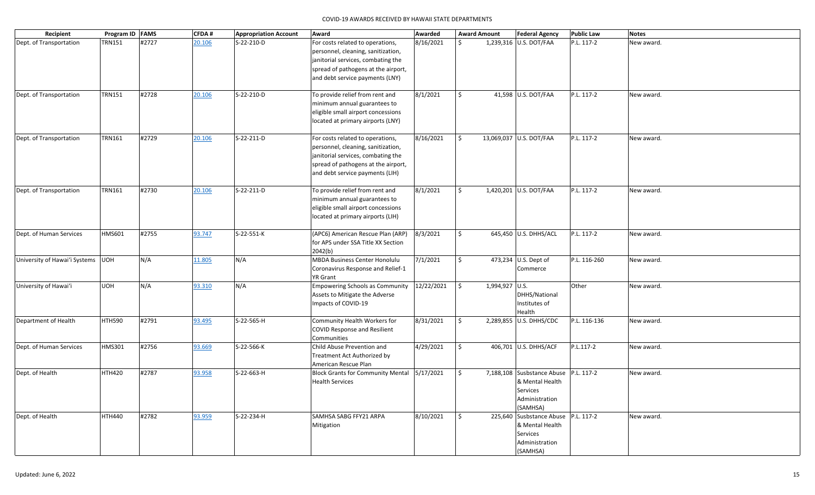| Recipient                           | Program ID FAMS |       | CFDA#  | <b>Appropriation Account</b> | Award                                                                                                                                                                                  | Awarded    |    | <b>Award Amount</b> | <b>Federal Agency</b>                                                                              | <b>Public Law</b> | <b>Notes</b> |
|-------------------------------------|-----------------|-------|--------|------------------------------|----------------------------------------------------------------------------------------------------------------------------------------------------------------------------------------|------------|----|---------------------|----------------------------------------------------------------------------------------------------|-------------------|--------------|
| Dept. of Transportation             | <b>TRN151</b>   | #2727 | 20.106 | S-22-210-D                   | For costs related to operations,<br>personnel, cleaning, sanitization,<br>janitorial services, combating the<br>spread of pathogens at the airport,<br>and debt service payments (LNY) | 8/16/2021  | Ś. |                     | 1,239,316 U.S. DOT/FAA                                                                             | P.L. 117-2        | New award.   |
| Dept. of Transportation             | <b>TRN151</b>   | #2728 | 20.106 | S-22-210-D                   | To provide relief from rent and<br>minimum annual guarantees to<br>eligible small airport concessions<br>located at primary airports (LNY)                                             | 8/1/2021   | Ś. |                     | 41,598 U.S. DOT/FAA                                                                                | P.L. 117-2        | New award.   |
| Dept. of Transportation             | <b>TRN161</b>   | #2729 | 20.106 | S-22-211-D                   | For costs related to operations,<br>personnel, cleaning, sanitization,<br>janitorial services, combating the<br>spread of pathogens at the airport,<br>and debt service payments (LIH) | 8/16/2021  | \$ |                     | 13,069,037 U.S. DOT/FAA                                                                            | P.L. 117-2        | New award.   |
| Dept. of Transportation             | <b>TRN161</b>   | #2730 | 20.106 | S-22-211-D                   | To provide relief from rent and<br>minimum annual guarantees to<br>eligible small airport concessions<br>located at primary airports (LIH)                                             | 8/1/2021   | \$ |                     | 1,420,201 U.S. DOT/FAA                                                                             | P.L. 117-2        | New award.   |
| Dept. of Human Services             | <b>HMS601</b>   | #2755 | 93.747 | S-22-551-K                   | (APC6) American Rescue Plan (ARP)<br>for APS under SSA Title XX Section<br>2042(b)                                                                                                     | 8/3/2021   | \$ |                     | 645,450 U.S. DHHS/ACL                                                                              | P.L. 117-2        | New award.   |
| University of Hawai'i Systems   UOH |                 | N/A   | 11.805 | N/A                          | <b>MBDA Business Center Honolulu</b><br>Coronavirus Response and Relief-1<br>YR Grant                                                                                                  | 7/1/2021   | Ŝ. |                     | 473,234 U.S. Dept of<br>Commerce                                                                   | P.L. 116-260      | New award.   |
| University of Hawai'i               | <b>UOH</b>      | N/A   | 93.310 | N/A                          | <b>Empowering Schools as Community</b><br>Assets to Mitigate the Adverse<br>Impacts of COVID-19                                                                                        | 12/22/2021 | \$ | 1,994,927 U.S.      | DHHS/National<br>Institutes of<br>Health                                                           | Other             | New award.   |
| Department of Health                | HTH590          | #2791 | 93.495 | S-22-565-H                   | Community Health Workers for<br>COVID Response and Resilient<br>Communities                                                                                                            | 8/31/2021  | \$ |                     | 2,289,855 U.S. DHHS/CDC                                                                            | P.L. 116-136      | New award.   |
| Dept. of Human Services             | <b>HMS301</b>   | #2756 | 93.669 | S-22-566-K                   | Child Abuse Prevention and<br>Treatment Act Authorized by<br>American Rescue Plan                                                                                                      | 4/29/2021  | \$ |                     | 406,701 U.S. DHHS/ACF                                                                              | P.L.117-2         | New award.   |
| Dept. of Health                     | <b>HTH420</b>   | #2787 | 93.958 | S-22-663-H                   | <b>Block Grants for Community Mental</b><br><b>Health Services</b>                                                                                                                     | 5/17/2021  | Ś. |                     | 7,188,108 Susbstance Abuse P.L. 117-2<br>& Mental Health<br>Services<br>Administration<br>(SAMHSA) |                   | New award.   |
| Dept. of Health                     | <b>HTH440</b>   | #2782 | 93.959 | S-22-234-H                   | SAMHSA SABG FFY21 ARPA<br>Mitigation                                                                                                                                                   | 8/10/2021  | \$ |                     | 225,640 Susbstance Abuse P.L. 117-2<br>& Mental Health<br>Services<br>Administration<br>(SAMHSA)   |                   | New award.   |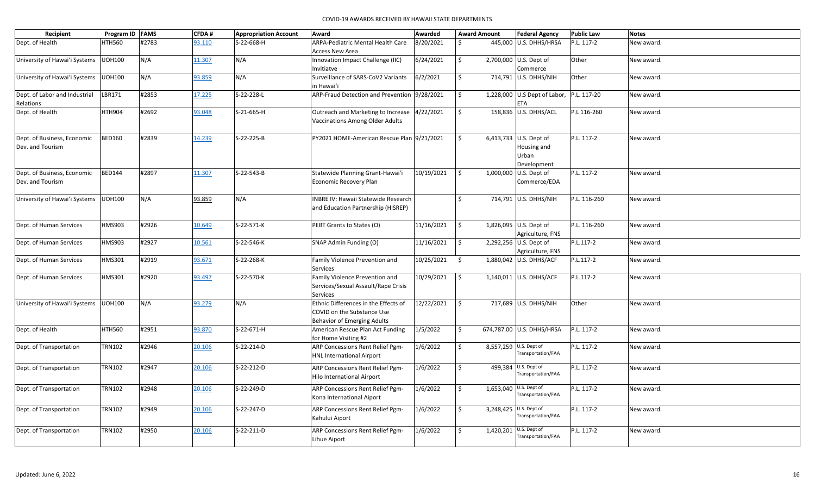| Recipient                     | Program ID FAMS |       | <b>CFDA#</b> | <b>Appropriation Account</b> | Award                                            | Awarded       | <b>Award Amount</b> | <b>Federal Agency</b>                        | <b>Public Law</b> | <b>Notes</b> |
|-------------------------------|-----------------|-------|--------------|------------------------------|--------------------------------------------------|---------------|---------------------|----------------------------------------------|-------------------|--------------|
| Dept. of Health               | <b>HTH560</b>   | #2783 | 93.110       | S-22-668-H                   | ARPA-Pediatric Mental Health Care                | 8/20/2021     | $\mathcal{S}$       | 445,000 U.S. DHHS/HRSA                       | P.L. 117-2        | New award.   |
|                               |                 |       |              |                              | Access New Area                                  |               |                     |                                              |                   |              |
| University of Hawai'i Systems | <b>UOH100</b>   | N/A   | 11.307       | N/A                          | Innovation Impact Challenge (IIC)                | 6/24/2021     | \$                  | 2,700,000 U.S. Dept of                       | Other             | New award.   |
|                               |                 |       |              |                              | Invitiatve                                       |               |                     | Commerce                                     |                   |              |
| University of Hawai'i Systems | <b>UOH100</b>   | N/A   | 93.859       | N/A                          | Surveillance of SARS-CoV2 Variants               | 6/2/2021      | \$                  | 714,791 U.S. DHHS/NIH                        | Other             | New award.   |
|                               |                 |       |              |                              | in Hawai'i                                       |               |                     |                                              |                   |              |
| Dept. of Labor and Industrial | LBR171          | #2853 | 17.225       | S-22-228-L                   | ARP-Fraud Detection and Prevention 9/28/2021     |               | $\ddot{\mathsf{S}}$ | 1,228,000 U.S Dept of Labor, P.L. 117-20     |                   | New award.   |
| Relations<br>Dept. of Health  | <b>HTH904</b>   | #2692 | 93.048       | S-21-665-H                   | Outreach and Marketing to Increase 4/22/2021     |               | \$                  | <b>ETA</b><br>158,836 U.S. DHHS/ACL          | P.L 116-260       |              |
|                               |                 |       |              |                              | Vaccinations Among Older Adults                  |               |                     |                                              |                   | New award.   |
|                               |                 |       |              |                              |                                                  |               |                     |                                              |                   |              |
| Dept. of Business, Economic   | <b>BED160</b>   | #2839 | 14.239       | S-22-225-B                   | PY2021 HOME-American Rescue Plan 9/21/2021       |               | \$                  | 6,413,733 U.S. Dept of                       | P.L. 117-2        | New award.   |
| Dev. and Tourism              |                 |       |              |                              |                                                  |               |                     | Housing and                                  |                   |              |
|                               |                 |       |              |                              |                                                  |               |                     | Urban                                        |                   |              |
|                               |                 |       |              |                              |                                                  |               |                     | Development                                  |                   |              |
| Dept. of Business, Economic   | <b>BED144</b>   | #2897 | 11.307       | S-22-543-B                   | Statewide Planning Grant-Hawai'i                 | 10/19/2021    | \$                  | 1,000,000 U.S. Dept of                       | P.L. 117-2        | New award.   |
| Dev. and Tourism              |                 |       |              |                              | Economic Recovery Plan                           |               |                     | Commerce/EDA                                 |                   |              |
|                               |                 |       |              |                              |                                                  |               |                     |                                              |                   |              |
| University of Hawai'i Systems | <b>UOH100</b>   | N/A   | 93.859       | N/A                          | <b>INBRE IV: Hawaii Statewide Research</b>       |               | $\ddot{\mathsf{S}}$ | 714,791 U.S. DHHS/NIH                        | P.L. 116-260      | New award.   |
|                               |                 |       |              |                              | and Education Partnership (HISREP)               |               |                     |                                              |                   |              |
|                               |                 |       |              |                              |                                                  |               |                     |                                              |                   |              |
| Dept. of Human Services       | HMS903          | #2926 | 10.649       | S-22-571-K                   | PEBT Grants to States (O)                        | 11/16/2021    | $\zeta$             | 1,826,095 U.S. Dept of                       | P.L. 116-260      | New award.   |
|                               |                 |       |              |                              |                                                  |               |                     | Agriculture, FNS                             |                   |              |
| Dept. of Human Services       | HMS903          | #2927 | 10.561       | S-22-546-K                   | SNAP Admin Funding (O)                           | 11/16/2021    | l \$                | 2,292,256 U.S. Dept of                       | P.L.117-2         | New award.   |
|                               |                 |       |              |                              |                                                  |               |                     | Agriculture, FNS                             |                   |              |
| Dept. of Human Services       | <b>HMS301</b>   | #2919 | 93.671       | S-22-268-K                   | Family Violence Prevention and                   | 10/25/2021 \$ |                     | 1,880,042 U.S. DHHS/ACF                      | P.L.117-2         | New award.   |
|                               |                 |       |              |                              | Services                                         |               |                     |                                              |                   |              |
| Dept. of Human Services       | HMS301          | #2920 | 93.497       | S-22-570-K                   | Family Violence Prevention and                   | 10/29/2021    | \$                  | 1,140,011 U.S. DHHS/ACF                      | P.L.117-2         | New award.   |
|                               |                 |       |              |                              | Services/Sexual Assault/Rape Crisis              |               |                     |                                              |                   |              |
| University of Hawai'i Systems | <b>UOH100</b>   | N/A   | 93.279       | N/A                          | Services<br>Ethnic Differences in the Effects of | 12/22/2021    | $\ddot{\mathsf{S}}$ | 717,689 U.S. DHHS/NIH                        | Other             | New award.   |
|                               |                 |       |              |                              | COVID on the Substance Use                       |               |                     |                                              |                   |              |
|                               |                 |       |              |                              | <b>Behavior of Emerging Adults</b>               |               |                     |                                              |                   |              |
| Dept. of Health               | <b>HTH560</b>   | #2951 | 93.870       | S-22-671-H                   | American Rescue Plan Act Funding                 | 1/5/2022      | \$                  | 674,787.00 U.S. DHHS/HRSA                    | P.L. 117-2        | New award.   |
|                               |                 |       |              |                              | for Home Visiting #2                             |               |                     |                                              |                   |              |
| Dept. of Transportation       | <b>TRN102</b>   | #2946 | 20.106       | S-22-214-D                   | ARP Concessions Rent Relief Pgm-                 | 1/6/2022      | \$                  | 8,557,259 U.S. Dept of                       | P.L. 117-2        | New award.   |
|                               |                 |       |              |                              | <b>HNL International Airport</b>                 |               |                     | Transportation/FAA                           |                   |              |
| Dept. of Transportation       | <b>TRN102</b>   | #2947 | 20.106       | S-22-212-D                   | ARP Concessions Rent Relief Pgm-                 | 1/6/2022      | \$                  | 499,384 U.S. Dept of                         | P.L. 117-2        | New award.   |
|                               |                 |       |              |                              | <b>Hilo International Airport</b>                |               |                     | Transportation/FAA                           |                   |              |
|                               |                 |       |              |                              |                                                  |               |                     |                                              |                   |              |
| Dept. of Transportation       | <b>TRN102</b>   | #2948 | 20.106       | S-22-249-D                   | ARP Concessions Rent Relief Pgm-                 | 1/6/2022      | \$                  | 1,653,040 U.S. Dept of<br>Transportation/FAA | P.L. 117-2        | New award.   |
|                               |                 |       |              |                              | Kona International Aiport                        |               |                     |                                              |                   |              |
| Dept. of Transportation       | <b>TRN102</b>   | #2949 | 20.106       | S-22-247-D                   | ARP Concessions Rent Relief Pgm-                 | 1/6/2022      | \$                  | U.S. Dept of<br>3,248,425                    | P.L. 117-2        | New award.   |
|                               |                 |       |              |                              | Kahului Aiport                                   |               |                     | Transportation/FAA                           |                   |              |
| Dept. of Transportation       | <b>TRN102</b>   | #2950 | 20.106       | S-22-211-D                   | ARP Concessions Rent Relief Pgm-                 | 1/6/2022      | Ŝ.                  | U.S. Dept of<br>1,420,201                    | P.L. 117-2        | New award.   |
|                               |                 |       |              |                              | Lihue Aiport                                     |               |                     | Transportation/FAA                           |                   |              |
|                               |                 |       |              |                              |                                                  |               |                     |                                              |                   |              |